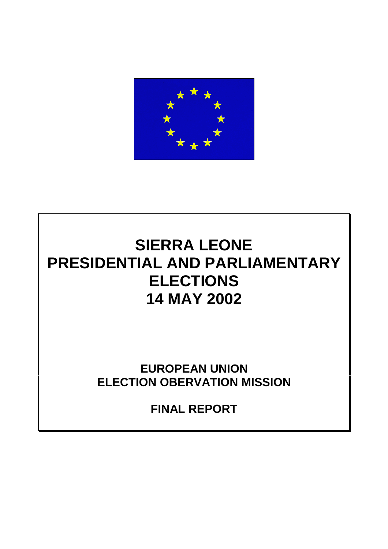

# **SIERRA LEONE PRESIDENTIAL AND PARLIAMENTARY ELECTIONS 14 MAY 2002**

**EUROPEAN UNION ELECTION OBERVATION MISSION**

**FINAL REPORT**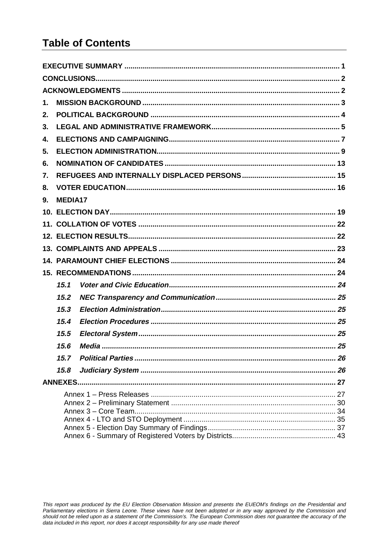## **Table of Contents**

| 1. |         |    |  |  |  |  |  |  |  |
|----|---------|----|--|--|--|--|--|--|--|
| 2. |         |    |  |  |  |  |  |  |  |
| 3. |         |    |  |  |  |  |  |  |  |
| 4. |         |    |  |  |  |  |  |  |  |
| 5. |         |    |  |  |  |  |  |  |  |
| 6. |         |    |  |  |  |  |  |  |  |
| 7. |         |    |  |  |  |  |  |  |  |
| 8. |         |    |  |  |  |  |  |  |  |
| 9. | MEDIA17 |    |  |  |  |  |  |  |  |
|    |         |    |  |  |  |  |  |  |  |
|    |         |    |  |  |  |  |  |  |  |
|    |         |    |  |  |  |  |  |  |  |
|    |         |    |  |  |  |  |  |  |  |
|    |         |    |  |  |  |  |  |  |  |
|    |         |    |  |  |  |  |  |  |  |
|    | 15.1    |    |  |  |  |  |  |  |  |
|    | 15.2    |    |  |  |  |  |  |  |  |
|    | 15.3    |    |  |  |  |  |  |  |  |
|    | 15.4    |    |  |  |  |  |  |  |  |
|    | 15.5    |    |  |  |  |  |  |  |  |
|    | 15.6    |    |  |  |  |  |  |  |  |
|    | 15.7    | 26 |  |  |  |  |  |  |  |
|    | 15.8    |    |  |  |  |  |  |  |  |
|    |         |    |  |  |  |  |  |  |  |
|    |         |    |  |  |  |  |  |  |  |

This report was produced by the EU Election Observation Mission and presents the EUEOM's findings on the Presidential and<br>Parliamentary elections in Sierra Leone. These views have not been adopted or in any way approved by should not be relied upon as a statement of the Commission's. The European Commission does not guarantee the accuracy of the data included in this report, nor does it accept responsibility for any use made thereof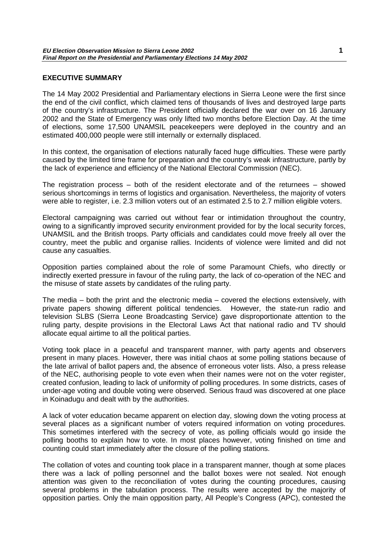## <span id="page-2-0"></span>**EXECUTIVE SUMMARY**

The 14 May 2002 Presidential and Parliamentary elections in Sierra Leone were the first since the end of the civil conflict, which claimed tens of thousands of lives and destroyed large parts of the country's infrastructure. The President officially declared the war over on 16 January 2002 and the State of Emergency was only lifted two months before Election Day. At the time of elections, some 17,500 UNAMSIL peacekeepers were deployed in the country and an estimated 400,000 people were still internally or externally displaced.

In this context, the organisation of elections naturally faced huge difficulties. These were partly caused by the limited time frame for preparation and the country's weak infrastructure, partly by the lack of experience and efficiency of the National Electoral Commission (NEC).

The registration process – both of the resident electorate and of the returnees – showed serious shortcomings in terms of logistics and organisation. Nevertheless, the majority of voters were able to register, i.e. 2.3 million voters out of an estimated 2.5 to 2.7 million eligible voters.

Electoral campaigning was carried out without fear or intimidation throughout the country, owing to a significantly improved security environment provided for by the local security forces, UNAMSIL and the British troops. Party officials and candidates could move freely all over the country, meet the public and organise rallies. Incidents of violence were limited and did not cause any casualties.

Opposition parties complained about the role of some Paramount Chiefs, who directly or indirectly exerted pressure in favour of the ruling party, the lack of co-operation of the NEC and the misuse of state assets by candidates of the ruling party.

The media – both the print and the electronic media – covered the elections extensively, with private papers showing different political tendencies. However, the state-run radio and television SLBS (Sierra Leone Broadcasting Service) gave disproportionate attention to the ruling party, despite provisions in the Electoral Laws Act that national radio and TV should allocate equal airtime to all the political parties.

Voting took place in a peaceful and transparent manner, with party agents and observers present in many places. However, there was initial chaos at some polling stations because of the late arrival of ballot papers and, the absence of erroneous voter lists. Also, a press release of the NEC, authorising people to vote even when their names were not on the voter register, created confusion, leading to lack of uniformity of polling procedures. In some districts, cases of under-age voting and double voting were observed. Serious fraud was discovered at one place in Koinadugu and dealt with by the authorities.

A lack of voter education became apparent on election day, slowing down the voting process at several places as a significant number of voters required information on voting procedures. This sometimes interfered with the secrecy of vote, as polling officials would go inside the polling booths to explain how to vote. In most places however, voting finished on time and counting could start immediately after the closure of the polling stations.

The collation of votes and counting took place in a transparent manner, though at some places there was a lack of polling personnel and the ballot boxes were not sealed. Not enough attention was given to the reconciliation of votes during the counting procedures, causing several problems in the tabulation process. The results were accepted by the majority of opposition parties. Only the main opposition party, All People's Congress (APC), contested the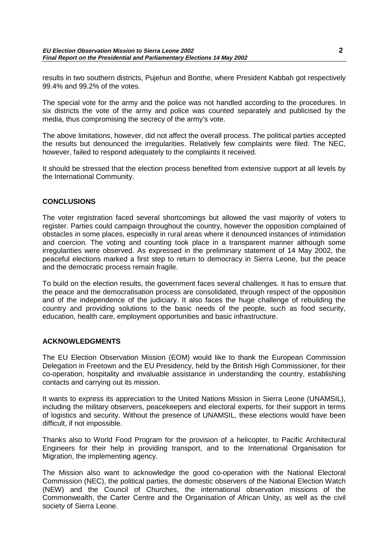<span id="page-3-0"></span>results in two southern districts, Pujehun and Bonthe, where President Kabbah got respectively 99.4% and 99.2% of the votes.

The special vote for the army and the police was not handled according to the procedures. In six districts the vote of the army and police was counted separately and publicised by the media, thus compromising the secrecy of the army's vote.

The above limitations, however, did not affect the overall process. The political parties accepted the results but denounced the irregularities. Relatively few complaints were filed. The NEC, however, failed to respond adequately to the complaints it received.

It should be stressed that the election process benefited from extensive support at all levels by the International Community.

## **CONCLUSIONS**

The voter registration faced several shortcomings but allowed the vast majority of voters to register. Parties could campaign throughout the country, however the opposition complained of obstacles in some places, especially in rural areas where it denounced instances of intimidation and coercion. The voting and counting took place in a transparent manner although some irregularities were observed. As expressed in the preliminary statement of 14 May 2002, the peaceful elections marked a first step to return to democracy in Sierra Leone, but the peace and the democratic process remain fragile.

To build on the election results, the government faces several challenges. It has to ensure that the peace and the democratisation process are consolidated, through respect of the opposition and of the independence of the judiciary. It also faces the huge challenge of rebuilding the country and providing solutions to the basic needs of the people, such as food security, education, health care, employment opportunities and basic infrastructure.

## **ACKNOWLEDGMENTS**

The EU Election Observation Mission (EOM) would like to thank the European Commission Delegation in Freetown and the EU Presidency, held by the British High Commissioner, for their co-operation, hospitality and invaluable assistance in understanding the country, establishing contacts and carrying out its mission.

It wants to express its appreciation to the United Nations Mission in Sierra Leone (UNAMSIL), including the military observers, peacekeepers and electoral experts, for their support in terms of logistics and security. Without the presence of UNAMSIL, these elections would have been difficult, if not impossible.

Thanks also to World Food Program for the provision of a helicopter, to Pacific Architectural Engineers for their help in providing transport, and to the International Organisation for Migration, the implementing agency.

The Mission also want to acknowledge the good co-operation with the National Electoral Commission (NEC), the political parties, the domestic observers of the National Election Watch (NEW) and the Council of Churches, the international observation missions of the Commonwealth, the Carter Centre and the Organisation of African Unity, as well as the civil society of Sierra Leone.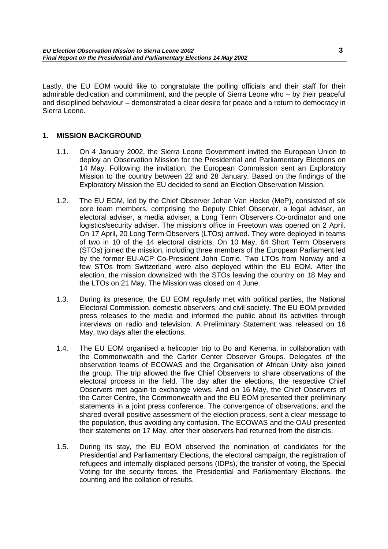<span id="page-4-0"></span>Lastly, the EU EOM would like to congratulate the polling officials and their staff for their admirable dedication and commitment, and the people of Sierra Leone who – by their peaceful and disciplined behaviour – demonstrated a clear desire for peace and a return to democracy in Sierra Leone.

## **1. MISSION BACKGROUND**

- 1.1. On 4 January 2002, the Sierra Leone Government invited the European Union to deploy an Observation Mission for the Presidential and Parliamentary Elections on 14 May. Following the invitation, the European Commission sent an Exploratory Mission to the country between 22 and 28 January. Based on the findings of the Exploratory Mission the EU decided to send an Election Observation Mission.
- 1.2. The EU EOM, led by the Chief Observer Johan Van Hecke (MeP), consisted of six core team members, comprising the Deputy Chief Observer, a legal adviser, an electoral adviser, a media adviser, a Long Term Observers Co-ordinator and one logistics/security adviser. The mission's office in Freetown was opened on 2 April. On 17 April, 20 Long Term Observers (LTOs) arrived. They were deployed in teams of two in 10 of the 14 electoral districts. On 10 May, 64 Short Term Observers (STOs) joined the mission, including three members of the European Parliament led by the former EU-ACP Co-President John Corrie. Two LTOs from Norway and a few STOs from Switzerland were also deployed within the EU EOM. After the election, the mission downsized with the STOs leaving the country on 18 May and the LTOs on 21 May. The Mission was closed on 4 June.
- 1.3. During its presence, the EU EOM regularly met with political parties, the National Electoral Commission, domestic observers, and civil society. The EU EOM provided press releases to the media and informed the public about its activities through interviews on radio and television. A Preliminary Statement was released on 16 May, two days after the elections.
- 1.4. The EU EOM organised a helicopter trip to Bo and Kenema, in collaboration with the Commonwealth and the Carter Center Observer Groups. Delegates of the observation teams of ECOWAS and the Organisation of African Unity also joined the group. The trip allowed the five Chief Observers to share observations of the electoral process in the field. The day after the elections, the respective Chief Observers met again to exchange views. And on 16 May, the Chief Observers of the Carter Centre, the Commonwealth and the EU EOM presented their preliminary statements in a joint press conference. The convergence of observations, and the shared overall positive assessment of the election process, sent a clear message to the population, thus avoiding any confusion. The ECOWAS and the OAU presented their statements on 17 May, after their observers had returned from the districts.
- 1.5. During its stay, the EU EOM observed the nomination of candidates for the Presidential and Parliamentary Elections, the electoral campaign, the registration of refugees and internally displaced persons (IDPs), the transfer of voting, the Special Voting for the security forces, the Presidential and Parliamentary Elections, the counting and the collation of results.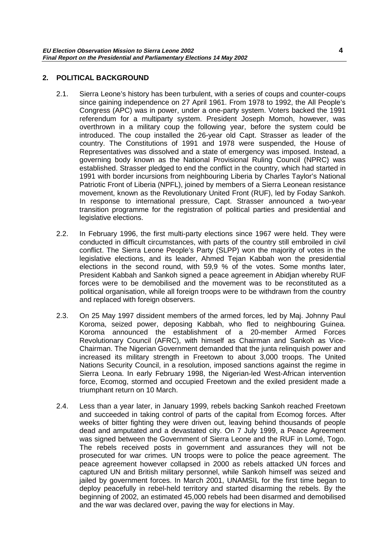## <span id="page-5-0"></span>**2. POLITICAL BACKGROUND**

- 2.1. Sierra Leone's history has been turbulent, with a series of coups and counter-coups since gaining independence on 27 April 1961. From 1978 to 1992, the All People's Congress (APC) was in power, under a one-party system. Voters backed the 1991 referendum for a multiparty system. President Joseph Momoh, however, was overthrown in a military coup the following year, before the system could be introduced. The coup installed the 26-year old Capt. Strasser as leader of the country. The Constitutions of 1991 and 1978 were suspended, the House of Representatives was dissolved and a state of emergency was imposed. Instead, a governing body known as the National Provisional Ruling Council (NPRC) was established. Strasser pledged to end the conflict in the country, which had started in 1991 with border incursions from neighbouring Liberia by Charles Taylor's National Patriotic Front of Liberia (NPFL), joined by members of a Sierra Leonean resistance movement, known as the Revolutionary United Front (RUF), led by Foday Sankoh. In response to international pressure, Capt. Strasser announced a two-year transition programme for the registration of political parties and presidential and legislative elections.
- 2.2. In February 1996, the first multi-party elections since 1967 were held. They were conducted in difficult circumstances, with parts of the country still embroiled in civil conflict. The Sierra Leone People's Party (SLPP) won the majority of votes in the legislative elections, and its leader, Ahmed Tejan Kabbah won the presidential elections in the second round, with 59,9 % of the votes. Some months later, President Kabbah and Sankoh signed a peace agreement in Abidjan whereby RUF forces were to be demobilised and the movement was to be reconstituted as a political organisation, while all foreign troops were to be withdrawn from the country and replaced with foreign observers.
- 2.3. On 25 May 1997 dissident members of the armed forces, led by Maj. Johnny Paul Koroma, seized power, deposing Kabbah, who fled to neighbouring Guinea. Koroma announced the establishment of a 20-member Armed Forces Revolutionary Council (AFRC), with himself as Chairman and Sankoh as Vice-Chairman. The Nigerian Government demanded that the junta relinquish power and increased its military strength in Freetown to about 3,000 troops. The United Nations Security Council, in a resolution, imposed sanctions against the regime in Sierra Leona. In early February 1998, the Nigerian-led West-African intervention force, Ecomog, stormed and occupied Freetown and the exiled president made a triumphant return on 10 March.
- 2.4. Less than a year later, in January 1999, rebels backing Sankoh reached Freetown and succeeded in taking control of parts of the capital from Ecomog forces. After weeks of bitter fighting they were driven out, leaving behind thousands of people dead and amputated and a devastated city. On 7 July 1999, a Peace Agreement was signed between the Government of Sierra Leone and the RUF in Lomé, Togo. The rebels received posts in government and assurances they will not be prosecuted for war crimes. UN troops were to police the peace agreement. The peace agreement however collapsed in 2000 as rebels attacked UN forces and captured UN and British military personnel, while Sankoh himself was seized and jailed by government forces. In March 2001, UNAMSIL for the first time began to deploy peacefully in rebel-held territory and started disarming the rebels. By the beginning of 2002, an estimated 45,000 rebels had been disarmed and demobilised and the war was declared over, paving the way for elections in May.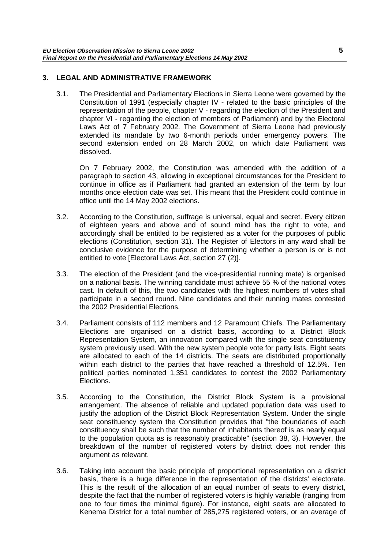## <span id="page-6-0"></span>**3. LEGAL AND ADMINISTRATIVE FRAMEWORK**

3.1. The Presidential and Parliamentary Elections in Sierra Leone were governed by the Constitution of 1991 (especially chapter IV - related to the basic principles of the representation of the people, chapter V - regarding the election of the President and chapter VI - regarding the election of members of Parliament) and by the Electoral Laws Act of 7 February 2002. The Government of Sierra Leone had previously extended its mandate by two 6-month periods under emergency powers. The second extension ended on 28 March 2002, on which date Parliament was dissolved.

On 7 February 2002, the Constitution was amended with the addition of a paragraph to section 43, allowing in exceptional circumstances for the President to continue in office as if Parliament had granted an extension of the term by four months once election date was set. This meant that the President could continue in office until the 14 May 2002 elections.

- 3.2. According to the Constitution, suffrage is universal, equal and secret. Every citizen of eighteen years and above and of sound mind has the right to vote, and accordingly shall be entitled to be registered as a voter for the purposes of public elections (Constitution, section 31). The Register of Electors in any ward shall be conclusive evidence for the purpose of determining whether a person is or is not entitled to vote [Electoral Laws Act, section 27 (2)].
- 3.3. The election of the President (and the vice-presidential running mate) is organised on a national basis. The winning candidate must achieve 55 % of the national votes cast. In default of this, the two candidates with the highest numbers of votes shall participate in a second round. Nine candidates and their running mates contested the 2002 Presidential Elections.
- 3.4. Parliament consists of 112 members and 12 Paramount Chiefs. The Parliamentary Elections are organised on a district basis, according to a District Block Representation System, an innovation compared with the single seat constituency system previously used. With the new system people vote for party lists. Eight seats are allocated to each of the 14 districts. The seats are distributed proportionally within each district to the parties that have reached a threshold of 12.5%. Ten political parties nominated 1,351 candidates to contest the 2002 Parliamentary Elections.
- 3.5. According to the Constitution, the District Block System is a provisional arrangement. The absence of reliable and updated population data was used to justify the adoption of the District Block Representation System. Under the single seat constituency system the Constitution provides that "the boundaries of each constituency shall be such that the number of inhabitants thereof is as nearly equal to the population quota as is reasonably practicable" (section 38, 3). However, the breakdown of the number of registered voters by district does not render this argument as relevant.
- 3.6. Taking into account the basic principle of proportional representation on a district basis, there is a huge difference in the representation of the districts' electorate. This is the result of the allocation of an equal number of seats to every district, despite the fact that the number of registered voters is highly variable (ranging from one to four times the minimal figure). For instance, eight seats are allocated to Kenema District for a total number of 285,275 registered voters, or an average of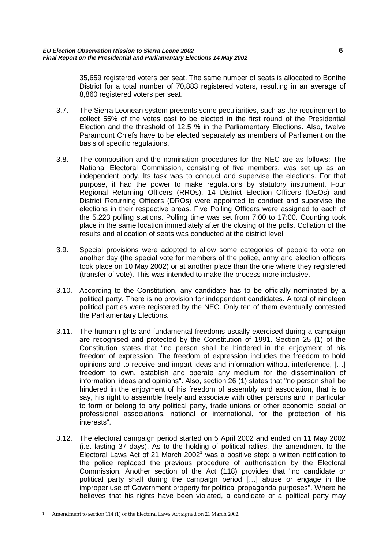35,659 registered voters per seat. The same number of seats is allocated to Bonthe District for a total number of 70,883 registered voters, resulting in an average of 8,860 registered voters per seat.

- 3.7. The Sierra Leonean system presents some peculiarities, such as the requirement to collect 55% of the votes cast to be elected in the first round of the Presidential Election and the threshold of 12.5 % in the Parliamentary Elections. Also, twelve Paramount Chiefs have to be elected separately as members of Parliament on the basis of specific regulations.
- 3.8. The composition and the nomination procedures for the NEC are as follows: The National Electoral Commission, consisting of five members, was set up as an independent body. Its task was to conduct and supervise the elections. For that purpose, it had the power to make regulations by statutory instrument. Four Regional Returning Officers (RROs), 14 District Election Officers (DEOs) and District Returning Officers (DROs) were appointed to conduct and supervise the elections in their respective areas. Five Polling Officers were assigned to each of the 5,223 polling stations. Polling time was set from 7:00 to 17:00. Counting took place in the same location immediately after the closing of the polls. Collation of the results and allocation of seats was conducted at the district level.
- 3.9. Special provisions were adopted to allow some categories of people to vote on another day (the special vote for members of the police, army and election officers took place on 10 May 2002) or at another place than the one where they registered (transfer of vote). This was intended to make the process more inclusive.
- 3.10. According to the Constitution, any candidate has to be officially nominated by a political party. There is no provision for independent candidates. A total of nineteen political parties were registered by the NEC. Only ten of them eventually contested the Parliamentary Elections.
- 3.11. The human rights and fundamental freedoms usually exercised during a campaign are recognised and protected by the Constitution of 1991. Section 25 (1) of the Constitution states that "no person shall be hindered in the enjoyment of his freedom of expression. The freedom of expression includes the freedom to hold opinions and to receive and impart ideas and information without interference, […] freedom to own, establish and operate any medium for the dissemination of information, ideas and opinions". Also, section 26 (1) states that "no person shall be hindered in the enjoyment of his freedom of assembly and association, that is to say, his right to assemble freely and associate with other persons and in particular to form or belong to any political party, trade unions or other economic, social or professional associations, national or international, for the protection of his interests".
- 3.12. The electoral campaign period started on 5 April 2002 and ended on 11 May 2002 (i.e. lasting 37 days). As to the holding of political rallies, the amendment to the Electoral Laws Act of 21 March 2002<sup>1</sup> was a positive step: a written notification to the police replaced the previous procedure of authorisation by the Electoral Commission. Another section of the Act (118) provides that "no candidate or political party shall during the campaign period […] abuse or engage in the improper use of Government property for political propaganda purposes". Where he believes that his rights have been violated, a candidate or a political party may

<sup>1</sup> Amendment to section 114 (1) of the Electoral Laws Act signed on 21 March 2002.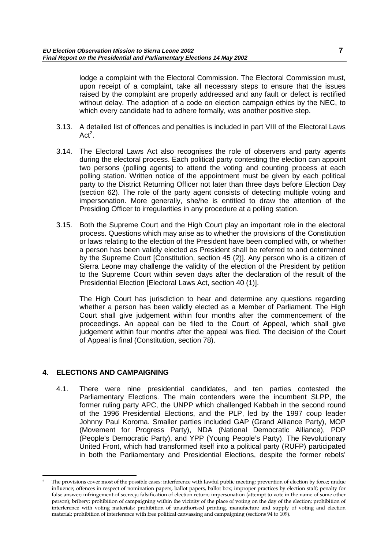<span id="page-8-0"></span>lodge a complaint with the Electoral Commission. The Electoral Commission must, upon receipt of a complaint, take all necessary steps to ensure that the issues raised by the complaint are properly addressed and any fault or defect is rectified without delay. The adoption of a code on election campaign ethics by the NEC, to which every candidate had to adhere formally, was another positive step.

- 3.13. A detailed list of offences and penalties is included in part VIII of the Electoral Laws  $Act<sup>2</sup>$ .
- 3.14. The Electoral Laws Act also recognises the role of observers and party agents during the electoral process. Each political party contesting the election can appoint two persons (polling agents) to attend the voting and counting process at each polling station. Written notice of the appointment must be given by each political party to the District Returning Officer not later than three days before Election Day (section 62). The role of the party agent consists of detecting multiple voting and impersonation. More generally, she/he is entitled to draw the attention of the Presiding Officer to irregularities in any procedure at a polling station.
- 3.15. Both the Supreme Court and the High Court play an important role in the electoral process. Questions which may arise as to whether the provisions of the Constitution or laws relating to the election of the President have been complied with, or whether a person has been validly elected as President shall be referred to and determined by the Supreme Court [Constitution, section 45 (2)]. Any person who is a citizen of Sierra Leone may challenge the validity of the election of the President by petition to the Supreme Court within seven days after the declaration of the result of the Presidential Election [Electoral Laws Act, section 40 (1)].

The High Court has jurisdiction to hear and determine any questions regarding whether a person has been validly elected as a Member of Parliament. The High Court shall give judgement within four months after the commencement of the proceedings. An appeal can be filed to the Court of Appeal, which shall give judgement within four months after the appeal was filed. The decision of the Court of Appeal is final (Constitution, section 78).

## **4. ELECTIONS AND CAMPAIGNING**

4.1. There were nine presidential candidates, and ten parties contested the Parliamentary Elections. The main contenders were the incumbent SLPP, the former ruling party APC, the UNPP which challenged Kabbah in the second round of the 1996 Presidential Elections, and the PLP, led by the 1997 coup leader Johnny Paul Koroma. Smaller parties included GAP (Grand Alliance Party), MOP (Movement for Progress Party), NDA (National Democratic Alliance), PDP (People's Democratic Party), and YPP (Young People's Party). The Revolutionary United Front, which had transformed itself into a political party (RUFP) participated in both the Parliamentary and Presidential Elections, despite the former rebels'

<sup>2</sup> The provisions cover most of the possible cases: interference with lawful public meeting; prevention of election by force; undue influence; offences in respect of nomination papers, ballot papers, ballot box; improper practices by election staff; penalty for false answer; infringement of secrecy; falsification of election return; impersonation (attempt to vote in the name of some other person); bribery; prohibition of campaigning within the vicinity of the place of voting on the day of the election; prohibition of interference with voting materials; prohibition of unauthorised printing, manufacture and supply of voting and election material; prohibition of interference with free political canvassing and campaigning (sections 94 to 109).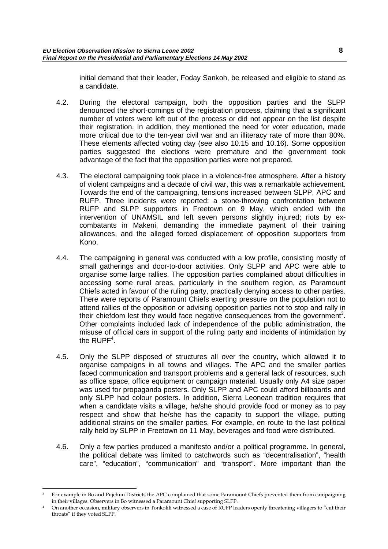initial demand that their leader, Foday Sankoh, be released and eligible to stand as a candidate.

- 4.2. During the electoral campaign, both the opposition parties and the SLPP denounced the short-comings of the registration process, claiming that a significant number of voters were left out of the process or did not appear on the list despite their registration. In addition, they mentioned the need for voter education, made more critical due to the ten-year civil war and an illiteracy rate of more than 80%. These elements affected voting day (see also 10.15 and 10.16). Some opposition parties suggested the elections were premature and the government took advantage of the fact that the opposition parties were not prepared.
- 4.3. The electoral campaigning took place in a violence-free atmosphere. After a history of violent campaigns and a decade of civil war, this was a remarkable achievement. Towards the end of the campaigning, tensions increased between SLPP, APC and RUFP. Three incidents were reported: a stone-throwing confrontation between RUFP and SLPP supporters in Freetown on 9 May, which ended with the intervention of UNAMSIL and left seven persons slightly injured; riots by excombatants in Makeni, demanding the immediate payment of their training allowances, and the alleged forced displacement of opposition supporters from Kono.
- 4.4. The campaigning in general was conducted with a low profile, consisting mostly of small gatherings and door-to-door activities. Only SLPP and APC were able to organise some large rallies. The opposition parties complained about difficulties in accessing some rural areas, particularly in the southern region, as Paramount Chiefs acted in favour of the ruling party, practically denying access to other parties. There were reports of Paramount Chiefs exerting pressure on the population not to attend rallies of the opposition or advising opposition parties not to stop and rally in their chiefdom lest they would face negative consequences from the government<sup>3</sup>. Other complaints included lack of independence of the public administration, the misuse of official cars in support of the ruling party and incidents of intimidation by the  $RUPF<sup>4</sup>$ .
- 4.5. Only the SLPP disposed of structures all over the country, which allowed it to organise campaigns in all towns and villages. The APC and the smaller parties faced communication and transport problems and a general lack of resources, such as office space, office equipment or campaign material. Usually only A4 size paper was used for propaganda posters. Only SLPP and APC could afford billboards and only SLPP had colour posters. In addition, Sierra Leonean tradition requires that when a candidate visits a village, he/she should provide food or money as to pay respect and show that he/she has the capacity to support the village, putting additional strains on the smaller parties. For example, en route to the last political rally held by SLPP in Freetown on 11 May, beverages and food were distributed.
- 4.6. Only a few parties produced a manifesto and/or a political programme. In general, the political debate was limited to catchwords such as "decentralisation", "health care", "education", "communication" and "transport". More important than the

<sup>3</sup> For example in Bo and Pujehun Districts the APC complained that some Paramount Chiefs prevented them from campaigning in their villages. Observers in Bo witnessed a Paramount Chief supporting SLPP.

<sup>4</sup> On another occasion, military observers in Tonkolili witnessed a case of RUFP leaders openly threatening villagers to "cut their throats" if they voted SLPP.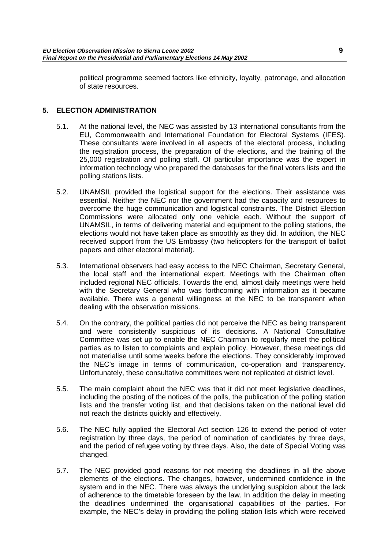<span id="page-10-0"></span>political programme seemed factors like ethnicity, loyalty, patronage, and allocation of state resources.

## **5. ELECTION ADMINISTRATION**

- 5.1. At the national level, the NEC was assisted by 13 international consultants from the EU, Commonwealth and International Foundation for Electoral Systems (IFES). These consultants were involved in all aspects of the electoral process, including the registration process, the preparation of the elections, and the training of the 25,000 registration and polling staff. Of particular importance was the expert in information technology who prepared the databases for the final voters lists and the polling stations lists.
- 5.2. UNAMSIL provided the logistical support for the elections. Their assistance was essential. Neither the NEC nor the government had the capacity and resources to overcome the huge communication and logistical constraints. The District Election Commissions were allocated only one vehicle each. Without the support of UNAMSIL, in terms of delivering material and equipment to the polling stations, the elections would not have taken place as smoothly as they did. In addition, the NEC received support from the US Embassy (two helicopters for the transport of ballot papers and other electoral material).
- 5.3. International observers had easy access to the NEC Chairman, Secretary General, the local staff and the international expert. Meetings with the Chairman often included regional NEC officials. Towards the end, almost daily meetings were held with the Secretary General who was forthcoming with information as it became available. There was a general willingness at the NEC to be transparent when dealing with the observation missions.
- 5.4. On the contrary, the political parties did not perceive the NEC as being transparent and were consistently suspicious of its decisions. A National Consultative Committee was set up to enable the NEC Chairman to regularly meet the political parties as to listen to complaints and explain policy. However, these meetings did not materialise until some weeks before the elections. They considerably improved the NEC's image in terms of communication, co-operation and transparency. Unfortunately, these consultative committees were not replicated at district level.
- 5.5. The main complaint about the NEC was that it did not meet legislative deadlines, including the posting of the notices of the polls, the publication of the polling station lists and the transfer voting list, and that decisions taken on the national level did not reach the districts quickly and effectively.
- 5.6. The NEC fully applied the Electoral Act section 126 to extend the period of voter registration by three days, the period of nomination of candidates by three days, and the period of refugee voting by three days. Also, the date of Special Voting was changed.
- 5.7. The NEC provided good reasons for not meeting the deadlines in all the above elements of the elections. The changes, however, undermined confidence in the system and in the NEC. There was always the underlying suspicion about the lack of adherence to the timetable foreseen by the law. In addition the delay in meeting the deadlines undermined the organisational capabilities of the parties. For example, the NEC's delay in providing the polling station lists which were received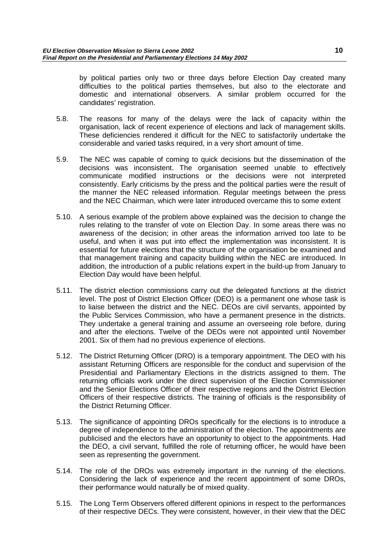by political parties only two or three days before Election Day created many difficulties to the political parties themselves, but also to the electorate and domestic and international observers. A similar problem occurred for the candidates' registration.

- 5.8. The reasons for many of the delays were the lack of capacity within the organisation, lack of recent experience of elections and lack of management skills. These deficiencies rendered it difficult for the NEC to satisfactorily undertake the considerable and varied tasks required, in a very short amount of time.
- 5.9. The NEC was capable of coming to quick decisions but the dissemination of the decisions was inconsistent. The organisation seemed unable to effectively communicate modified instructions or the decisions were not interpreted consistently. Early criticisms by the press and the political parties were the result of the manner the NEC released information. Regular meetings between the press and the NEC Chairman, which were later introduced overcame this to some extent
- 5.10. A serious example of the problem above explained was the decision to change the rules relating to the transfer of vote on Election Day. In some areas there was no awareness of the decision; in other areas the information arrived too late to be useful, and when it was put into effect the implementation was inconsistent. It is essential for future elections that the structure of the organisation be examined and that management training and capacity building within the NEC are introduced. In addition, the introduction of a public relations expert in the build-up from January to Election Day would have been helpful.
- 5.11. The district election commissions carry out the delegated functions at the district level. The post of District Election Officer (DEO) is a permanent one whose task is to liaise between the district and the NEC. DEOs are civil servants, appointed by the Public Services Commission, who have a permanent presence in the districts. They undertake a general training and assume an overseeing role before, during and after the elections. Twelve of the DEOs were not appointed until November 2001. Six of them had no previous experience of elections.
- 5.12. The District Returning Officer (DRO) is a temporary appointment. The DEO with his assistant Returning Officers are responsible for the conduct and supervision of the Presidential and Parliamentary Elections in the districts assigned to them. The returning officials work under the direct supervision of the Election Commissioner and the Senior Elections Officer of their respective regions and the District Election Officers of their respective districts. The training of officials is the responsibility of the District Returning Officer.
- 5.13. The significance of appointing DROs specifically for the elections is to introduce a degree of independence to the administration of the election. The appointments are publicised and the electors have an opportunity to object to the appointments. Had the DEO, a civil servant, fulfilled the role of returning officer, he would have been seen as representing the government.
- 5.14. The role of the DROs was extremely important in the running of the elections. Considering the lack of experience and the recent appointment of some DROs, their performance would naturally be of mixed quality.
- 5.15. The Long Term Observers offered different opinions in respect to the performances of their respective DECs. They were consistent, however, in their view that the DEC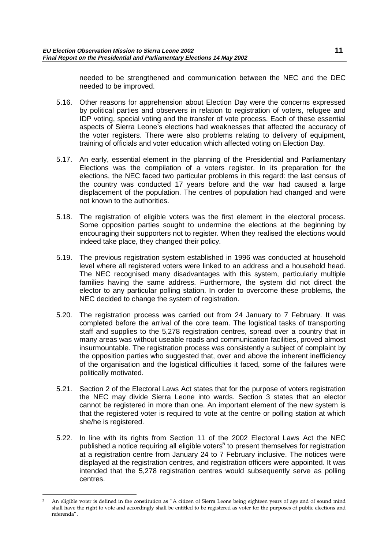needed to be strengthened and communication between the NEC and the DEC needed to be improved.

- 5.16. Other reasons for apprehension about Election Day were the concerns expressed by political parties and observers in relation to registration of voters, refugee and IDP voting, special voting and the transfer of vote process. Each of these essential aspects of Sierra Leone's elections had weaknesses that affected the accuracy of the voter registers. There were also problems relating to delivery of equipment, training of officials and voter education which affected voting on Election Day.
- 5.17. An early, essential element in the planning of the Presidential and Parliamentary Elections was the compilation of a voters register. In its preparation for the elections, the NEC faced two particular problems in this regard: the last census of the country was conducted 17 years before and the war had caused a large displacement of the population. The centres of population had changed and were not known to the authorities.
- 5.18. The registration of eligible voters was the first element in the electoral process. Some opposition parties sought to undermine the elections at the beginning by encouraging their supporters not to register. When they realised the elections would indeed take place, they changed their policy.
- 5.19. The previous registration system established in 1996 was conducted at household level where all registered voters were linked to an address and a household head. The NEC recognised many disadvantages with this system, particularly multiple families having the same address. Furthermore, the system did not direct the elector to any particular polling station. In order to overcome these problems, the NEC decided to change the system of registration.
- 5.20. The registration process was carried out from 24 January to 7 February. It was completed before the arrival of the core team. The logistical tasks of transporting staff and supplies to the 5,278 registration centres, spread over a country that in many areas was without useable roads and communication facilities, proved almost insurmountable. The registration process was consistently a subject of complaint by the opposition parties who suggested that, over and above the inherent inefficiency of the organisation and the logistical difficulties it faced, some of the failures were politically motivated.
- 5.21. Section 2 of the Electoral Laws Act states that for the purpose of voters registration the NEC may divide Sierra Leone into wards. Section 3 states that an elector cannot be registered in more than one. An important element of the new system is that the registered voter is required to vote at the centre or polling station at which she/he is registered.
- 5.22. In line with its rights from Section 11 of the 2002 Electoral Laws Act the NEC published a notice requiring all eligible voters<sup>5</sup> to present themselves for registration at a registration centre from January 24 to 7 February inclusive. The notices were displayed at the registration centres, and registration officers were appointed. It was intended that the 5,278 registration centres would subsequently serve as polling centres.

<sup>5</sup> An eligible voter is defined in the constitution as "A citizen of Sierra Leone being eighteen years of age and of sound mind shall have the right to vote and accordingly shall be entitled to be registered as voter for the purposes of public elections and referenda".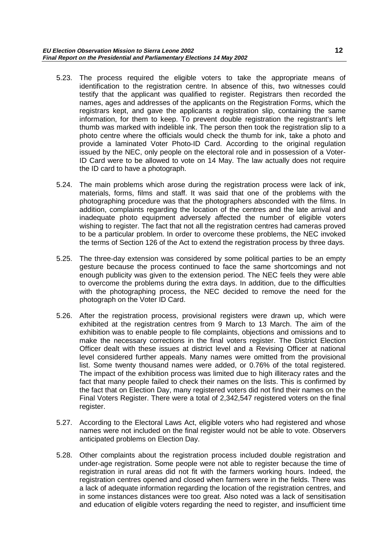- 5.23. The process required the eligible voters to take the appropriate means of identification to the registration centre. In absence of this, two witnesses could testify that the applicant was qualified to register. Registrars then recorded the names, ages and addresses of the applicants on the Registration Forms, which the registrars kept, and gave the applicants a registration slip, containing the same information, for them to keep. To prevent double registration the registrant's left thumb was marked with indelible ink. The person then took the registration slip to a photo centre where the officials would check the thumb for ink, take a photo and provide a laminated Voter Photo-ID Card. According to the original regulation issued by the NEC, only people on the electoral role and in possession of a Voter-ID Card were to be allowed to vote on 14 May. The law actually does not require the ID card to have a photograph.
- 5.24. The main problems which arose during the registration process were lack of ink, materials, forms, films and staff. It was said that one of the problems with the photographing procedure was that the photographers absconded with the films. In addition, complaints regarding the location of the centres and the late arrival and inadequate photo equipment adversely affected the number of eligible voters wishing to register. The fact that not all the registration centres had cameras proved to be a particular problem. In order to overcome these problems, the NEC invoked the terms of Section 126 of the Act to extend the registration process by three days.
- 5.25. The three-day extension was considered by some political parties to be an empty gesture because the process continued to face the same shortcomings and not enough publicity was given to the extension period. The NEC feels they were able to overcome the problems during the extra days. In addition, due to the difficulties with the photographing process, the NEC decided to remove the need for the photograph on the Voter ID Card.
- 5.26. After the registration process, provisional registers were drawn up, which were exhibited at the registration centres from 9 March to 13 March. The aim of the exhibition was to enable people to file complaints, objections and omissions and to make the necessary corrections in the final voters register. The District Election Officer dealt with these issues at district level and a Revising Officer at national level considered further appeals. Many names were omitted from the provisional list. Some twenty thousand names were added, or 0.76% of the total registered. The impact of the exhibition process was limited due to high illiteracy rates and the fact that many people failed to check their names on the lists. This is confirmed by the fact that on Election Day, many registered voters did not find their names on the Final Voters Register. There were a total of 2,342,547 registered voters on the final register.
- 5.27. According to the Electoral Laws Act, eligible voters who had registered and whose names were not included on the final register would not be able to vote. Observers anticipated problems on Election Day.
- 5.28. Other complaints about the registration process included double registration and under-age registration. Some people were not able to register because the time of registration in rural areas did not fit with the farmers working hours. Indeed, the registration centres opened and closed when farmers were in the fields. There was a lack of adequate information regarding the location of the registration centres, and in some instances distances were too great. Also noted was a lack of sensitisation and education of eligible voters regarding the need to register, and insufficient time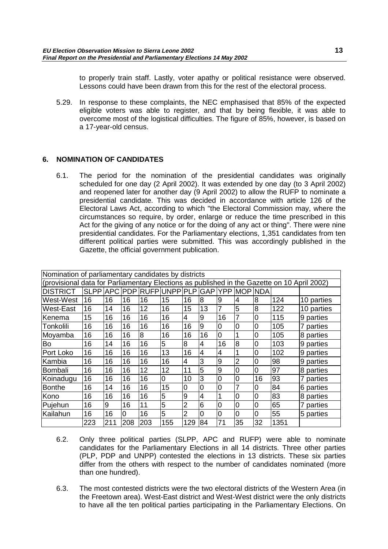<span id="page-14-0"></span>to properly train staff. Lastly, voter apathy or political resistance were observed. Lessons could have been drawn from this for the rest of the electoral process.

5.29. In response to these complaints, the NEC emphasised that 85% of the expected eligible voters was able to register, and that by being flexible, it was able to overcome most of the logistical difficulties. The figure of 85%, however, is based on a 17-year-old census.

## **6. NOMINATION OF CANDIDATES**

6.1. The period for the nomination of the presidential candidates was originally scheduled for one day (2 April 2002). It was extended by one day (to 3 April 2002) and reopened later for another day (9 April 2002) to allow the RUFP to nominate a presidential candidate. This was decided in accordance with article 126 of the Electoral Laws Act, according to which "the Electoral Commission may, where the circumstances so require, by order, enlarge or reduce the time prescribed in this Act for the giving of any notice or for the doing of any act or thing". There were nine presidential candidates. For the Parliamentary elections, 1,351 candidates from ten different political parties were submitted. This was accordingly published in the Gazette, the official government publication.

| Nomination of parliamentary candidates by districts                                         |     |     |          |     |                |                |                |                |                |    |      |            |
|---------------------------------------------------------------------------------------------|-----|-----|----------|-----|----------------|----------------|----------------|----------------|----------------|----|------|------------|
| (provisional data for Parliamentary Elections as published in the Gazette on 10 April 2002) |     |     |          |     |                |                |                |                |                |    |      |            |
| <b>DISTRICT</b>                                                                             |     |     |          |     |                |                |                |                |                |    |      |            |
| West-West                                                                                   | 16  | 16  | 16       | 16  | 15             | 16             | 8              | 9              | 4              | 8  | 124  | 10 parties |
| <b>West-East</b>                                                                            | 16  | 14  | 16       | 12  | 16             | 15             | 13             |                | 5              | 8  | 122  | 10 parties |
| Kenema                                                                                      | 15  | 16  | 16       | 16  | 16             | 4              | 9              | 16             | 7              | 0  | 115  | 9 parties  |
| Tonkolili                                                                                   | 16  | 16  | 16       | 16  | 16             | 16             | 9              | 0              | 0              | 0  | 105  | 7 parties  |
| Moyamba                                                                                     | 16  | 16  | 16       | 8   | 16             | 16             | 16             | 0              |                | 0  | 105  | 8 parties  |
| Bo                                                                                          | 16  | 14  | 16       | 16  | 5              | 8              | 4              | 16             | 8              | 0  | 103  | 9 parties  |
| Port Loko                                                                                   | 16  | 16  | 16       | 16  | 13             | 16             | 4              | 4              |                | 0  | 102  | 9 parties  |
| Kambia                                                                                      | 16  | 16  | 16       | 16  | 16             | 4              | 3              | 9              | $\overline{2}$ | 0  | 98   | 9 parties  |
| Bombali                                                                                     | 16  | 16  | 16       | 12  | 12             | 11             | 5              | 9              | 0              | 0  | 97   | 8 parties  |
| Koinadugu                                                                                   | 16  | 16  | 16       | 16  | $\overline{0}$ | 10             | 3              | $\overline{0}$ | 0              | 16 | 93   | 7 parties  |
| <b>Bonthe</b>                                                                               | 16  | 14  | 16       | 16  | 15             | 0              | 0              | $\overline{0}$ | 7              | 0  | 84   | 6 parties  |
| Kono                                                                                        | 16  | 16  | 16       | 16  | 5              | 9              | $\overline{4}$ | 1              | 0              | 0  | 83   | 8 parties  |
| Pujehun                                                                                     | 16  | 9   | 16       | 11  | 5              | $\overline{2}$ | 6              | $\overline{0}$ | 0              | 0  | 65   | 7 parties  |
| Kailahun                                                                                    | 16  | 16  | $\Omega$ | 16  | 5              | 2              | 0              | $\overline{0}$ | 0              | 0  | 55   | 5 parties  |
|                                                                                             | 223 | 211 | 208      | 203 | 155            | 129            | 84             | 71             | 35             | 32 | 1351 |            |

- 6.2. Only three political parties (SLPP, APC and RUFP) were able to nominate candidates for the Parliamentary Elections in all 14 districts. Three other parties (PLP, PDP and UNPP) contested the elections in 13 districts. These six parties differ from the others with respect to the number of candidates nominated (more than one hundred).
- 6.3. The most contested districts were the two electoral districts of the Western Area (in the Freetown area). West-East district and West-West district were the only districts to have all the ten political parties participating in the Parliamentary Elections. On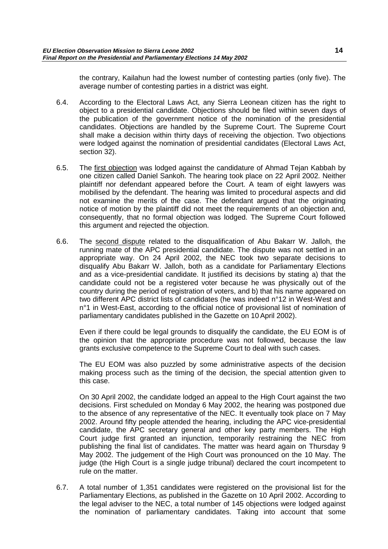the contrary, Kailahun had the lowest number of contesting parties (only five). The average number of contesting parties in a district was eight.

- 6.4. According to the Electoral Laws Act, any Sierra Leonean citizen has the right to object to a presidential candidate. Objections should be filed within seven days of the publication of the government notice of the nomination of the presidential candidates. Objections are handled by the Supreme Court. The Supreme Court shall make a decision within thirty days of receiving the objection. Two objections were lodged against the nomination of presidential candidates (Electoral Laws Act, section 32).
- 6.5. The first objection was lodged against the candidature of Ahmad Tejan Kabbah by one citizen called Daniel Sankoh. The hearing took place on 22 April 2002. Neither plaintiff nor defendant appeared before the Court. A team of eight lawyers was mobilised by the defendant. The hearing was limited to procedural aspects and did not examine the merits of the case. The defendant argued that the originating notice of motion by the plaintiff did not meet the requirements of an objection and, consequently, that no formal objection was lodged. The Supreme Court followed this argument and rejected the objection.
- 6.6. The second dispute related to the disqualification of Abu Bakarr W. Jalloh, the running mate of the APC presidential candidate. The dispute was not settled in an appropriate way. On 24 April 2002, the NEC took two separate decisions to disqualify Abu Bakarr W. Jalloh, both as a candidate for Parliamentary Elections and as a vice-presidential candidate. It justified its decisions by stating a) that the candidate could not be a registered voter because he was physically out of the country during the period of registration of voters, and b) that his name appeared on two different APC district lists of candidates (he was indeed n°12 in West-West and n°1 in West-East, according to the official notice of provisional list of nomination of parliamentary candidates published in the Gazette on 10 April 2002).

Even if there could be legal grounds to disqualify the candidate, the EU EOM is of the opinion that the appropriate procedure was not followed, because the law grants exclusive competence to the Supreme Court to deal with such cases.

The EU EOM was also puzzled by some administrative aspects of the decision making process such as the timing of the decision, the special attention given to this case.

On 30 April 2002, the candidate lodged an appeal to the High Court against the two decisions. First scheduled on Monday 6 May 2002, the hearing was postponed due to the absence of any representative of the NEC. It eventually took place on 7 May 2002. Around fifty people attended the hearing, including the APC vice-presidential candidate, the APC secretary general and other key party members. The High Court judge first granted an injunction, temporarily restraining the NEC from publishing the final list of candidates. The matter was heard again on Thursday 9 May 2002. The judgement of the High Court was pronounced on the 10 May. The judge (the High Court is a single judge tribunal) declared the court incompetent to rule on the matter.

6.7. A total number of 1,351 candidates were registered on the provisional list for the Parliamentary Elections, as published in the Gazette on 10 April 2002. According to the legal adviser to the NEC, a total number of 145 objections were lodged against the nomination of parliamentary candidates. Taking into account that some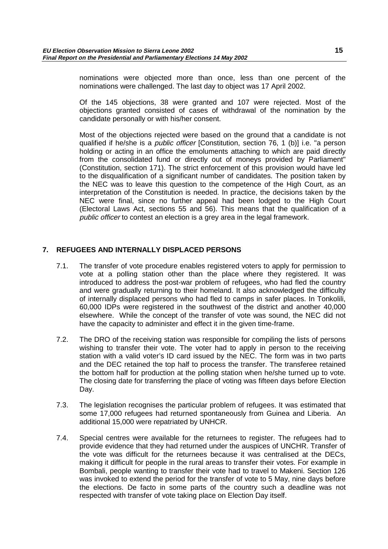<span id="page-16-0"></span>nominations were objected more than once, less than one percent of the nominations were challenged. The last day to object was 17 April 2002.

Of the 145 objections, 38 were granted and 107 were rejected. Most of the objections granted consisted of cases of withdrawal of the nomination by the candidate personally or with his/her consent.

Most of the objections rejected were based on the ground that a candidate is not qualified if he/she is a public officer [Constitution, section 76, 1 (b)] i.e. "a person holding or acting in an office the emoluments attaching to which are paid directly from the consolidated fund or directly out of moneys provided by Parliament" (Constitution, section 171). The strict enforcement of this provision would have led to the disqualification of a significant number of candidates. The position taken by the NEC was to leave this question to the competence of the High Court, as an interpretation of the Constitution is needed. In practice, the decisions taken by the NEC were final, since no further appeal had been lodged to the High Court (Electoral Laws Act, sections 55 and 56). This means that the qualification of a public officer to contest an election is a grey area in the legal framework.

## **7. REFUGEES AND INTERNALLY DISPLACED PERSONS**

- 7.1. The transfer of vote procedure enables registered voters to apply for permission to vote at a polling station other than the place where they registered. It was introduced to address the post-war problem of refugees, who had fled the country and were gradually returning to their homeland. It also acknowledged the difficulty of internally displaced persons who had fled to camps in safer places. In Tonkolili, 60,000 IDPs were registered in the southwest of the district and another 40,000 elsewhere. While the concept of the transfer of vote was sound, the NEC did not have the capacity to administer and effect it in the given time-frame.
- 7.2. The DRO of the receiving station was responsible for compiling the lists of persons wishing to transfer their vote. The voter had to apply in person to the receiving station with a valid voter's ID card issued by the NEC. The form was in two parts and the DEC retained the top half to process the transfer. The transferee retained the bottom half for production at the polling station when he/she turned up to vote. The closing date for transferring the place of voting was fifteen days before Election Day.
- 7.3. The legislation recognises the particular problem of refugees. It was estimated that some 17,000 refugees had returned spontaneously from Guinea and Liberia. An additional 15,000 were repatriated by UNHCR.
- 7.4. Special centres were available for the returnees to register. The refugees had to provide evidence that they had returned under the auspices of UNCHR. Transfer of the vote was difficult for the returnees because it was centralised at the DECs, making it difficult for people in the rural areas to transfer their votes. For example in Bombali, people wanting to transfer their vote had to travel to Makeni. Section 126 was invoked to extend the period for the transfer of vote to 5 May, nine days before the elections. De facto in some parts of the country such a deadline was not respected with transfer of vote taking place on Election Day itself.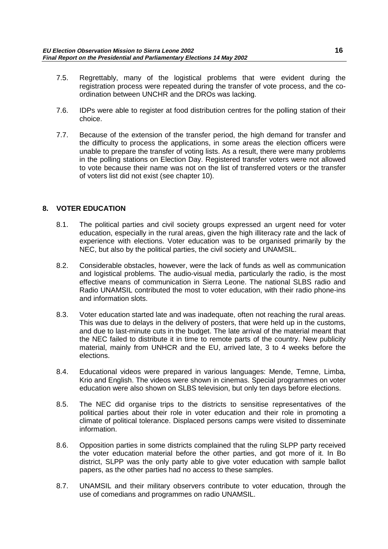- <span id="page-17-0"></span>7.5. Regrettably, many of the logistical problems that were evident during the registration process were repeated during the transfer of vote process, and the coordination between UNCHR and the DROs was lacking.
- 7.6. IDPs were able to register at food distribution centres for the polling station of their choice.
- 7.7. Because of the extension of the transfer period, the high demand for transfer and the difficulty to process the applications, in some areas the election officers were unable to prepare the transfer of voting lists. As a result, there were many problems in the polling stations on Election Day. Registered transfer voters were not allowed to vote because their name was not on the list of transferred voters or the transfer of voters list did not exist (see chapter 10).

## **8. VOTER EDUCATION**

- 8.1. The political parties and civil society groups expressed an urgent need for voter education, especially in the rural areas, given the high illiteracy rate and the lack of experience with elections. Voter education was to be organised primarily by the NEC, but also by the political parties, the civil society and UNAMSIL.
- 8.2. Considerable obstacles, however, were the lack of funds as well as communication and logistical problems. The audio-visual media, particularly the radio, is the most effective means of communication in Sierra Leone. The national SLBS radio and Radio UNAMSIL contributed the most to voter education, with their radio phone-ins and information slots.
- 8.3. Voter education started late and was inadequate, often not reaching the rural areas. This was due to delays in the delivery of posters, that were held up in the customs, and due to last-minute cuts in the budget. The late arrival of the material meant that the NEC failed to distribute it in time to remote parts of the country. New publicity material, mainly from UNHCR and the EU, arrived late, 3 to 4 weeks before the elections.
- 8.4. Educational videos were prepared in various languages: Mende, Temne, Limba, Krio and English. The videos were shown in cinemas. Special programmes on voter education were also shown on SLBS television, but only ten days before elections.
- 8.5. The NEC did organise trips to the districts to sensitise representatives of the political parties about their role in voter education and their role in promoting a climate of political tolerance. Displaced persons camps were visited to disseminate information.
- 8.6. Opposition parties in some districts complained that the ruling SLPP party received the voter education material before the other parties, and got more of it. In Bo district, SLPP was the only party able to give voter education with sample ballot papers, as the other parties had no access to these samples.
- 8.7. UNAMSIL and their military observers contribute to voter education, through the use of comedians and programmes on radio UNAMSIL.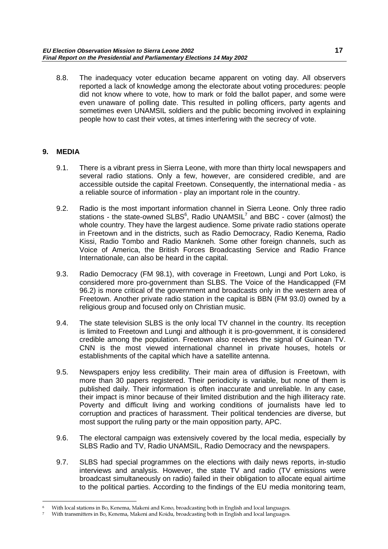<span id="page-18-0"></span>8.8. The inadequacy voter education became apparent on voting day. All observers reported a lack of knowledge among the electorate about voting procedures: people did not know where to vote, how to mark or fold the ballot paper, and some were even unaware of polling date. This resulted in polling officers, party agents and sometimes even UNAMSIL soldiers and the public becoming involved in explaining people how to cast their votes, at times interfering with the secrecy of vote.

## **9. MEDIA**

- 9.1. There is a vibrant press in Sierra Leone, with more than thirty local newspapers and several radio stations. Only a few, however, are considered credible, and are accessible outside the capital Freetown. Consequently, the international media - as a reliable source of information - play an important role in the country.
- 9.2. Radio is the most important information channel in Sierra Leone. Only three radio stations - the state-owned SLBS $^6$ , Radio UNAMSIL<sup>7</sup> and BBC - cover (almost) the whole country. They have the largest audience. Some private radio stations operate in Freetown and in the districts, such as Radio Democracy, Radio Kenema, Radio Kissi, Radio Tombo and Radio Mankneh. Some other foreign channels, such as Voice of America, the British Forces Broadcasting Service and Radio France Internationale, can also be heard in the capital.
- 9.3. Radio Democracy (FM 98.1), with coverage in Freetown, Lungi and Port Loko, is considered more pro-government than SLBS. The Voice of the Handicapped (FM 96.2) is more critical of the government and broadcasts only in the western area of Freetown. Another private radio station in the capital is BBN (FM 93.0) owned by a religious group and focused only on Christian music.
- 9.4. The state television SLBS is the only local TV channel in the country. Its reception is limited to Freetown and Lungi and although it is pro-government, it is considered credible among the population. Freetown also receives the signal of Guinean TV. CNN is the most viewed international channel in private houses, hotels or establishments of the capital which have a satellite antenna.
- 9.5. Newspapers enjoy less credibility. Their main area of diffusion is Freetown, with more than 30 papers registered. Their periodicity is variable, but none of them is published daily. Their information is often inaccurate and unreliable. In any case, their impact is minor because of their limited distribution and the high illiteracy rate. Poverty and difficult living and working conditions of journalists have led to corruption and practices of harassment. Their political tendencies are diverse, but most support the ruling party or the main opposition party, APC.
- 9.6. The electoral campaign was extensively covered by the local media, especially by SLBS Radio and TV, Radio UNAMSIL, Radio Democracy and the newspapers.
- 9.7. SLBS had special programmes on the elections with daily news reports, in-studio interviews and analysis. However, the state TV and radio (TV emissions were broadcast simultaneously on radio) failed in their obligation to allocate equal airtime to the political parties. According to the findings of the EU media monitoring team,

<sup>6</sup> With local stations in Bo, Kenema, Makeni and Kono, broadcasting both in English and local languages.

<sup>7</sup> With transmitters in Bo, Kenema, Makeni and Koidu, broadcasting both in English and local languages.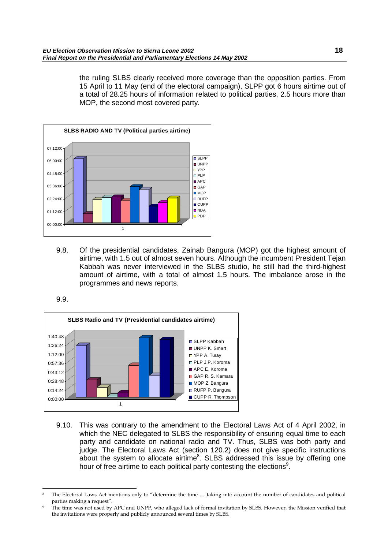the ruling SLBS clearly received more coverage than the opposition parties. From 15 April to 11 May (end of the electoral campaign), SLPP got 6 hours airtime out of a total of 28.25 hours of information related to political parties, 2.5 hours more than MOP, the second most covered party.



9.8. Of the presidential candidates, Zainab Bangura (MOP) got the highest amount of airtime, with 1.5 out of almost seven hours. Although the incumbent President Tejan Kabbah was never interviewed in the SLBS studio, he still had the third-highest amount of airtime, with a total of almost 1.5 hours. The imbalance arose in the programmes and news reports.





9.10. This was contrary to the amendment to the Electoral Laws Act of 4 April 2002, in which the NEC delegated to SLBS the responsibility of ensuring equal time to each party and candidate on national radio and TV. Thus, SLBS was both party and judge. The Electoral Laws Act (section 120.2) does not give specific instructions about the system to allocate airtime ${}^{8}$ . SLBS addressed this issue by offering one hour of free airtime to each political party contesting the elections<sup>9</sup>.

The Electoral Laws Act mentions only to "determine the time ... taking into account the number of candidates and political parties making a request".

The time was not used by APC and UNPP, who alleged lack of formal invitation by SLBS. However, the Mission verified that the invitations were properly and publicly announced several times by SLBS.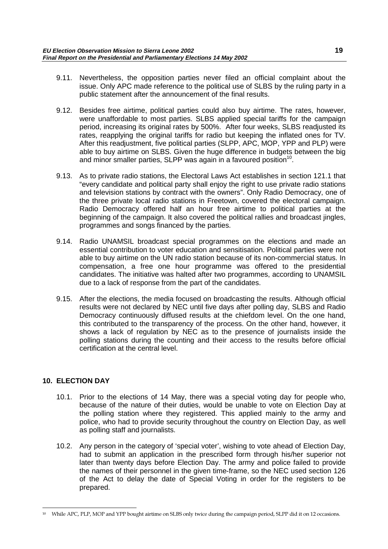- <span id="page-20-0"></span>9.11. Nevertheless, the opposition parties never filed an official complaint about the issue. Only APC made reference to the political use of SLBS by the ruling party in a public statement after the announcement of the final results.
- 9.12. Besides free airtime, political parties could also buy airtime. The rates, however, were unaffordable to most parties. SLBS applied special tariffs for the campaign period, increasing its original rates by 500%. After four weeks, SLBS readjusted its rates, reapplying the original tariffs for radio but keeping the inflated ones for TV. After this readjustment, five political parties (SLPP, APC, MOP, YPP and PLP) were able to buy airtime on SLBS. Given the huge difference in budgets between the big and minor smaller parties, SLPP was again in a favoured position<sup>10</sup>.
- 9.13. As to private radio stations, the Electoral Laws Act establishes in section 121.1 that "every candidate and political party shall enjoy the right to use private radio stations and television stations by contract with the owners". Only Radio Democracy, one of the three private local radio stations in Freetown, covered the electoral campaign. Radio Democracy offered half an hour free airtime to political parties at the beginning of the campaign. It also covered the political rallies and broadcast jingles, programmes and songs financed by the parties.
- 9.14. Radio UNAMSIL broadcast special programmes on the elections and made an essential contribution to voter education and sensitisation. Political parties were not able to buy airtime on the UN radio station because of its non-commercial status. In compensation, a free one hour programme was offered to the presidential candidates. The initiative was halted after two programmes, according to UNAMSIL due to a lack of response from the part of the candidates.
- 9.15. After the elections, the media focused on broadcasting the results. Although official results were not declared by NEC until five days after polling day, SLBS and Radio Democracy continuously diffused results at the chiefdom level. On the one hand, this contributed to the transparency of the process. On the other hand, however, it shows a lack of regulation by NEC as to the presence of journalists inside the polling stations during the counting and their access to the results before official certification at the central level.

## **10. ELECTION DAY**

- 10.1. Prior to the elections of 14 May, there was a special voting day for people who, because of the nature of their duties, would be unable to vote on Election Day at the polling station where they registered. This applied mainly to the army and police, who had to provide security throughout the country on Election Day, as well as polling staff and journalists.
- 10.2. Any person in the category of 'special voter', wishing to vote ahead of Election Day, had to submit an application in the prescribed form through his/her superior not later than twenty days before Election Day. The army and police failed to provide the names of their personnel in the given time-frame, so the NEC used section 126 of the Act to delay the date of Special Voting in order for the registers to be prepared.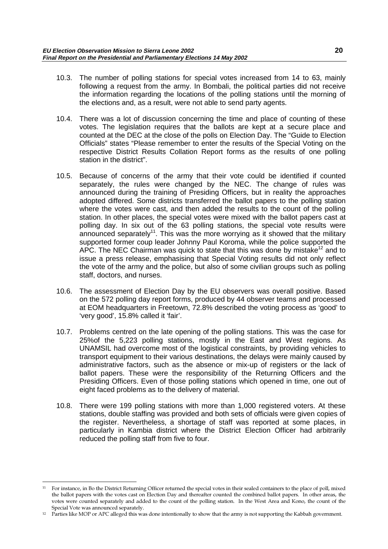- 10.3. The number of polling stations for special votes increased from 14 to 63, mainly following a request from the army. In Bombali, the political parties did not receive the information regarding the locations of the polling stations until the morning of the elections and, as a result, were not able to send party agents.
- 10.4. There was a lot of discussion concerning the time and place of counting of these votes. The legislation requires that the ballots are kept at a secure place and counted at the DEC at the close of the polls on Election Day. The "Guide to Election Officials" states "Please remember to enter the results of the Special Voting on the respective District Results Collation Report forms as the results of one polling station in the district".
- 10.5. Because of concerns of the army that their vote could be identified if counted separately, the rules were changed by the NEC. The change of rules was announced during the training of Presiding Officers, but in reality the approaches adopted differed. Some districts transferred the ballot papers to the polling station where the votes were cast, and then added the results to the count of the polling station. In other places, the special votes were mixed with the ballot papers cast at polling day. In six out of the 63 polling stations, the special vote results were announced separately<sup>11</sup>. This was the more worrying as it showed that the military supported former coup leader Johnny Paul Koroma, while the police supported the APC. The NEC Chairman was quick to state that this was done by mistake<sup>12</sup> and to issue a press release, emphasising that Special Voting results did not only reflect the vote of the army and the police, but also of some civilian groups such as polling staff, doctors, and nurses.
- 10.6. The assessment of Election Day by the EU observers was overall positive. Based on the 572 polling day report forms, produced by 44 observer teams and processed at EOM headquarters in Freetown, 72.8% described the voting process as 'good' to 'very good', 15.8% called it 'fair'.
- 10.7. Problems centred on the late opening of the polling stations. This was the case for 25%of the 5,223 polling stations, mostly in the East and West regions. As UNAMSIL had overcome most of the logistical constraints, by providing vehicles to transport equipment to their various destinations, the delays were mainly caused by administrative factors, such as the absence or mix-up of registers or the lack of ballot papers. These were the responsibility of the Returning Officers and the Presiding Officers. Even of those polling stations which opened in time, one out of eight faced problems as to the delivery of material.
- 10.8. There were 199 polling stations with more than 1,000 registered voters. At these stations, double staffing was provided and both sets of officials were given copies of the register. Nevertheless, a shortage of staff was reported at some places, in particularly in Kambia district where the District Election Officer had arbitrarily reduced the polling staff from five to four.

<sup>11</sup> For instance, in Bo the District Returning Officer returned the special votes in their sealed containers to the place of poll, mixed the ballot papers with the votes cast on Election Day and thereafter counted the combined ballot papers. In other areas, the votes were counted separately and added to the count of the polling station. In the West Area and Kono, the count of the Special Vote was announced separately.

<sup>&</sup>lt;sup>12</sup> Parties like MOP or APC alleged this was done intentionally to show that the army is not supporting the Kabbah government.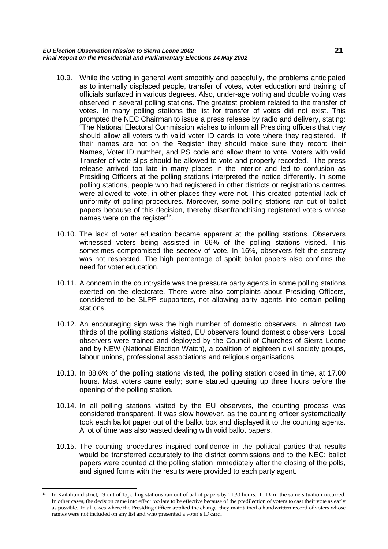- 10.9. While the voting in general went smoothly and peacefully, the problems anticipated as to internally displaced people, transfer of votes, voter education and training of officials surfaced in various degrees. Also, under-age voting and double voting was observed in several polling stations. The greatest problem related to the transfer of votes. In many polling stations the list for transfer of votes did not exist. This prompted the NEC Chairman to issue a press release by radio and delivery, stating: "The National Electoral Commission wishes to inform all Presiding officers that they should allow all voters with valid voter ID cards to vote where they registered. If their names are not on the Register they should make sure they record their Names, Voter ID number, and PS code and allow them to vote. Voters with valid Transfer of vote slips should be allowed to vote and properly recorded." The press release arrived too late in many places in the interior and led to confusion as Presiding Officers at the polling stations interpreted the notice differently. In some polling stations, people who had registered in other districts or registrations centres were allowed to vote, in other places they were not. This created potential lack of uniformity of polling procedures. Moreover, some polling stations ran out of ballot papers because of this decision, thereby disenfranchising registered voters whose names were on the register<sup>13</sup>.
- 10.10. The lack of voter education became apparent at the polling stations. Observers witnessed voters being assisted in 66% of the polling stations visited. This sometimes compromised the secrecy of vote. In 16%, observers felt the secrecy was not respected. The high percentage of spoilt ballot papers also confirms the need for voter education.
- 10.11. A concern in the countryside was the pressure party agents in some polling stations exerted on the electorate. There were also complaints about Presiding Officers, considered to be SLPP supporters, not allowing party agents into certain polling stations.
- 10.12. An encouraging sign was the high number of domestic observers. In almost two thirds of the polling stations visited, EU observers found domestic observers. Local observers were trained and deployed by the Council of Churches of Sierra Leone and by NEW (National Election Watch), a coalition of eighteen civil society groups, labour unions, professional associations and religious organisations.
- 10.13. In 88.6% of the polling stations visited, the polling station closed in time, at 17.00 hours. Most voters came early; some started queuing up three hours before the opening of the polling station.
- 10.14. In all polling stations visited by the EU observers, the counting process was considered transparent. It was slow however, as the counting officer systematically took each ballot paper out of the ballot box and displayed it to the counting agents. A lot of time was also wasted dealing with void ballot papers.
- 10.15. The counting procedures inspired confidence in the political parties that results would be transferred accurately to the district commissions and to the NEC: ballot papers were counted at the polling station immediately after the closing of the polls, and signed forms with the results were provided to each party agent.

<sup>13</sup> In Kailahun district, 13 out of 15polling stations ran out of ballot papers by 11.30 hours. In Daru the same situation occurred. In other cases, the decision came into effect too late to be effective because of the predilection of voters to cast their vote as early as possible. In all cases where the Presiding Officer applied the change, they maintained a handwritten record of voters whose names were not included on any list and who presented a voter's ID card.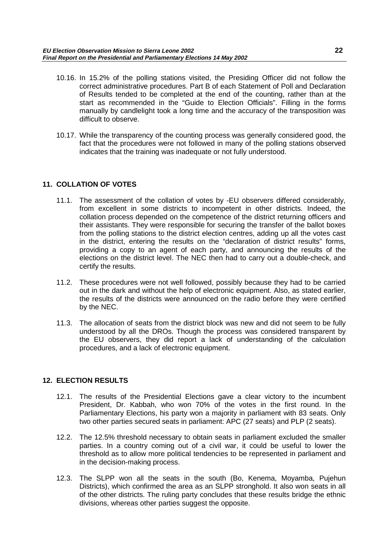- <span id="page-23-0"></span>10.16. In 15.2% of the polling stations visited, the Presiding Officer did not follow the correct administrative procedures. Part B of each Statement of Poll and Declaration of Results tended to be completed at the end of the counting, rather than at the start as recommended in the "Guide to Election Officials". Filling in the forms manually by candlelight took a long time and the accuracy of the transposition was difficult to observe.
- 10.17. While the transparency of the counting process was generally considered good, the fact that the procedures were not followed in many of the polling stations observed indicates that the training was inadequate or not fully understood.

## **11. COLLATION OF VOTES**

- 11.1. The assessment of the collation of votes by -EU observers differed considerably, from excellent in some districts to incompetent in other districts. Indeed, the collation process depended on the competence of the district returning officers and their assistants. They were responsible for securing the transfer of the ballot boxes from the polling stations to the district election centres, adding up all the votes cast in the district, entering the results on the "declaration of district results" forms, providing a copy to an agent of each party, and announcing the results of the elections on the district level. The NEC then had to carry out a double-check, and certify the results.
- 11.2. These procedures were not well followed, possibly because they had to be carried out in the dark and without the help of electronic equipment. Also, as stated earlier, the results of the districts were announced on the radio before they were certified by the NEC.
- 11.3. The allocation of seats from the district block was new and did not seem to be fully understood by all the DROs. Though the process was considered transparent by the EU observers, they did report a lack of understanding of the calculation procedures, and a lack of electronic equipment.

## **12. ELECTION RESULTS**

- 12.1. The results of the Presidential Elections gave a clear victory to the incumbent President, Dr. Kabbah, who won 70% of the votes in the first round. In the Parliamentary Elections, his party won a majority in parliament with 83 seats. Only two other parties secured seats in parliament: APC (27 seats) and PLP (2 seats).
- 12.2. The 12.5% threshold necessary to obtain seats in parliament excluded the smaller parties. In a country coming out of a civil war, it could be useful to lower the threshold as to allow more political tendencies to be represented in parliament and in the decision-making process.
- 12.3. The SLPP won all the seats in the south (Bo, Kenema, Moyamba, Pujehun Districts), which confirmed the area as an SLPP stronghold. It also won seats in all of the other districts. The ruling party concludes that these results bridge the ethnic divisions, whereas other parties suggest the opposite.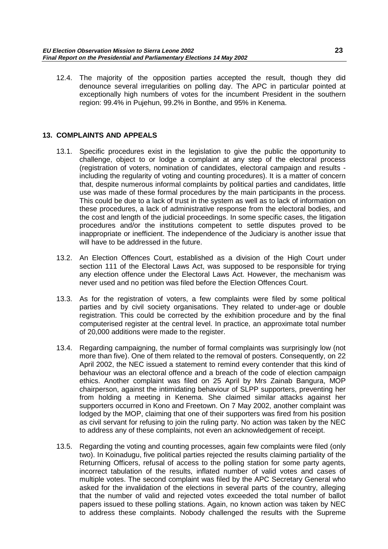<span id="page-24-0"></span>12.4. The majority of the opposition parties accepted the result, though they did denounce several irregularities on polling day. The APC in particular pointed at exceptionally high numbers of votes for the incumbent President in the southern region: 99.4% in Pujehun, 99.2% in Bonthe, and 95% in Kenema.

## **13. COMPLAINTS AND APPEALS**

- 13.1. Specific procedures exist in the legislation to give the public the opportunity to challenge, object to or lodge a complaint at any step of the electoral process (registration of voters, nomination of candidates, electoral campaign and results including the regularity of voting and counting procedures). It is a matter of concern that, despite numerous informal complaints by political parties and candidates, little use was made of these formal procedures by the main participants in the process. This could be due to a lack of trust in the system as well as to lack of information on these procedures, a lack of administrative response from the electoral bodies, and the cost and length of the judicial proceedings. In some specific cases, the litigation procedures and/or the institutions competent to settle disputes proved to be inappropriate or inefficient. The independence of the Judiciary is another issue that will have to be addressed in the future.
- 13.2. An Election Offences Court, established as a division of the High Court under section 111 of the Electoral Laws Act, was supposed to be responsible for trying any election offence under the Electoral Laws Act. However, the mechanism was never used and no petition was filed before the Election Offences Court.
- 13.3. As for the registration of voters, a few complaints were filed by some political parties and by civil society organisations. They related to under-age or double registration. This could be corrected by the exhibition procedure and by the final computerised register at the central level. In practice, an approximate total number of 20,000 additions were made to the register.
- 13.4. Regarding campaigning, the number of formal complaints was surprisingly low (not more than five). One of them related to the removal of posters. Consequently, on 22 April 2002, the NEC issued a statement to remind every contender that this kind of behaviour was an electoral offence and a breach of the code of election campaign ethics. Another complaint was filed on 25 April by Mrs Zainab Bangura, MOP chairperson, against the intimidating behaviour of SLPP supporters, preventing her from holding a meeting in Kenema. She claimed similar attacks against her supporters occurred in Kono and Freetown. On 7 May 2002, another complaint was lodged by the MOP, claiming that one of their supporters was fired from his position as civil servant for refusing to join the ruling party. No action was taken by the NEC to address any of these complaints, not even an acknowledgement of receipt.
- 13.5. Regarding the voting and counting processes, again few complaints were filed (only two). In Koinadugu, five political parties rejected the results claiming partiality of the Returning Officers, refusal of access to the polling station for some party agents, incorrect tabulation of the results, inflated number of valid votes and cases of multiple votes. The second complaint was filed by the APC Secretary General who asked for the invalidation of the elections in several parts of the country, alleging that the number of valid and rejected votes exceeded the total number of ballot papers issued to these polling stations. Again, no known action was taken by NEC to address these complaints. Nobody challenged the results with the Supreme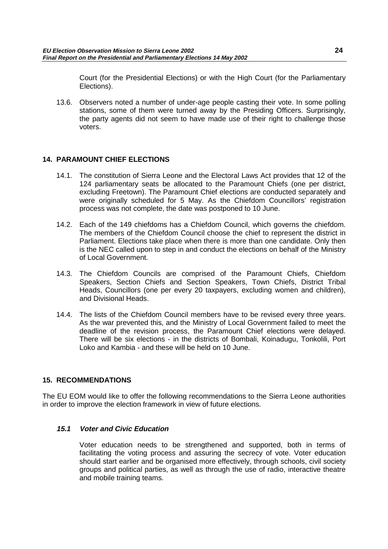<span id="page-25-0"></span>Court (for the Presidential Elections) or with the High Court (for the Parliamentary Elections).

13.6. Observers noted a number of under-age people casting their vote. In some polling stations, some of them were turned away by the Presiding Officers. Surprisingly, the party agents did not seem to have made use of their right to challenge those voters.

## **14. PARAMOUNT CHIEF ELECTIONS**

- 14.1. The constitution of Sierra Leone and the Electoral Laws Act provides that 12 of the 124 parliamentary seats be allocated to the Paramount Chiefs (one per district, excluding Freetown). The Paramount Chief elections are conducted separately and were originally scheduled for 5 May. As the Chiefdom Councillors' registration process was not complete, the date was postponed to 10 June.
- 14.2. Each of the 149 chiefdoms has a Chiefdom Council, which governs the chiefdom. The members of the Chiefdom Council choose the chief to represent the district in Parliament. Elections take place when there is more than one candidate. Only then is the NEC called upon to step in and conduct the elections on behalf of the Ministry of Local Government.
- 14.3. The Chiefdom Councils are comprised of the Paramount Chiefs, Chiefdom Speakers, Section Chiefs and Section Speakers, Town Chiefs, District Tribal Heads, Councillors (one per every 20 taxpayers, excluding women and children), and Divisional Heads.
- 14.4. The lists of the Chiefdom Council members have to be revised every three years. As the war prevented this, and the Ministry of Local Government failed to meet the deadline of the revision process, the Paramount Chief elections were delayed. There will be six elections - in the districts of Bombali, Koinadugu, Tonkolili, Port Loko and Kambia - and these will be held on 10 June.

## **15. RECOMMENDATIONS**

The EU EOM would like to offer the following recommendations to the Sierra Leone authorities in order to improve the election framework in view of future elections.

## **15.1 Voter and Civic Education**

Voter education needs to be strengthened and supported, both in terms of facilitating the voting process and assuring the secrecy of vote. Voter education should start earlier and be organised more effectively, through schools, civil society groups and political parties, as well as through the use of radio, interactive theatre and mobile training teams.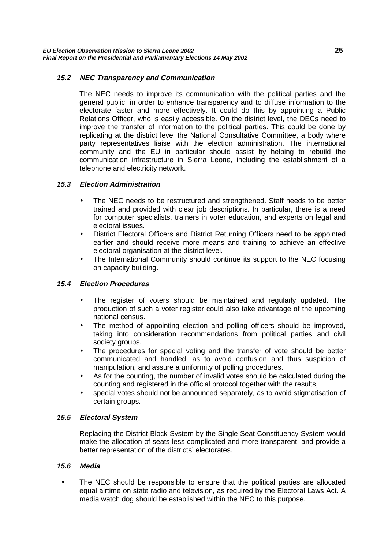## <span id="page-26-0"></span>**15.2 NEC Transparency and Communication**

The NEC needs to improve its communication with the political parties and the general public, in order to enhance transparency and to diffuse information to the electorate faster and more effectively. It could do this by appointing a Public Relations Officer, who is easily accessible. On the district level, the DECs need to improve the transfer of information to the political parties. This could be done by replicating at the district level the National Consultative Committee, a body where party representatives liaise with the election administration. The international community and the EU in particular should assist by helping to rebuild the communication infrastructure in Sierra Leone, including the establishment of a telephone and electricity network.

## **15.3 Election Administration**

- The NEC needs to be restructured and strengthened. Staff needs to be better trained and provided with clear job descriptions. In particular, there is a need for computer specialists, trainers in voter education, and experts on legal and electoral issues.
- District Electoral Officers and District Returning Officers need to be appointed earlier and should receive more means and training to achieve an effective electoral organisation at the district level.
- The International Community should continue its support to the NEC focusing on capacity building.

## **15.4 Election Procedures**

- The register of voters should be maintained and regularly updated. The production of such a voter register could also take advantage of the upcoming national census.
- The method of appointing election and polling officers should be improved, taking into consideration recommendations from political parties and civil society groups.
- The procedures for special voting and the transfer of vote should be better communicated and handled, as to avoid confusion and thus suspicion of manipulation, and assure a uniformity of polling procedures.
- As for the counting, the number of invalid votes should be calculated during the counting and registered in the official protocol together with the results,
- special votes should not be announced separately, as to avoid stigmatisation of certain groups.

## **15.5 Electoral System**

Replacing the District Block System by the Single Seat Constituency System would make the allocation of seats less complicated and more transparent, and provide a better representation of the districts' electorates.

## **15.6 Media**

The NEC should be responsible to ensure that the political parties are allocated equal airtime on state radio and television, as required by the Electoral Laws Act. A media watch dog should be established within the NEC to this purpose.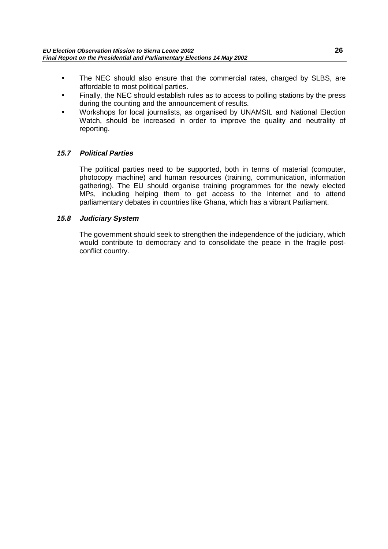- <span id="page-27-0"></span>• The NEC should also ensure that the commercial rates, charged by SLBS, are affordable to most political parties.
- Finally, the NEC should establish rules as to access to polling stations by the press during the counting and the announcement of results.
- Workshops for local journalists, as organised by UNAMSIL and National Election Watch, should be increased in order to improve the quality and neutrality of reporting.

## **15.7 Political Parties**

The political parties need to be supported, both in terms of material (computer, photocopy machine) and human resources (training, communication, information gathering). The EU should organise training programmes for the newly elected MPs, including helping them to get access to the Internet and to attend parliamentary debates in countries like Ghana, which has a vibrant Parliament.

## **15.8 Judiciary System**

The government should seek to strengthen the independence of the judiciary, which would contribute to democracy and to consolidate the peace in the fragile postconflict country.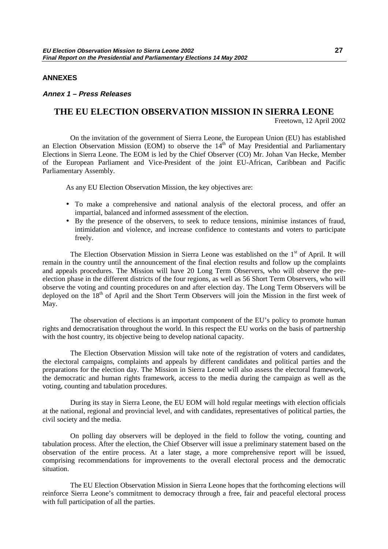#### <span id="page-28-0"></span>**ANNEXES**

#### **Annex 1 – Press Releases**

## **THE EU ELECTION OBSERVATION MISSION IN SIERRA LEONE**

Freetown, 12 April 2002

On the invitation of the government of Sierra Leone, the European Union (EU) has established an Election Observation Mission (EOM) to observe the  $14<sup>th</sup>$  of May Presidential and Parliamentary Elections in Sierra Leone. The EOM is led by the Chief Observer (CO) Mr. Johan Van Hecke, Member of the European Parliament and Vice-President of the joint EU-African, Caribbean and Pacific Parliamentary Assembly.

As any EU Election Observation Mission, the key objectives are:

- To make a comprehensive and national analysis of the electoral process, and offer an impartial, balanced and informed assessment of the election.
- By the presence of the observers, to seek to reduce tensions, minimise instances of fraud, intimidation and violence, and increase confidence to contestants and voters to participate freely.

The Election Observation Mission in Sierra Leone was established on the 1<sup>st</sup> of April. It will remain in the country until the announcement of the final election results and follow up the complaints and appeals procedures. The Mission will have 20 Long Term Observers, who will observe the preelection phase in the different districts of the four regions, as well as 56 Short Term Observers, who will observe the voting and counting procedures on and after election day. The Long Term Observers will be deployed on the  $18<sup>th</sup>$  of April and the Short Term Observers will join the Mission in the first week of May.

The observation of elections is an important component of the EU's policy to promote human rights and democratisation throughout the world. In this respect the EU works on the basis of partnership with the host country, its objective being to develop national capacity.

The Election Observation Mission will take note of the registration of voters and candidates, the electoral campaigns, complaints and appeals by different candidates and political parties and the preparations for the election day. The Mission in Sierra Leone will also assess the electoral framework, the democratic and human rights framework, access to the media during the campaign as well as the voting, counting and tabulation procedures.

During its stay in Sierra Leone, the EU EOM will hold regular meetings with election officials at the national, regional and provincial level, and with candidates, representatives of political parties, the civil society and the media.

On polling day observers will be deployed in the field to follow the voting, counting and tabulation process. After the election, the Chief Observer will issue a preliminary statement based on the observation of the entire process. At a later stage, a more comprehensive report will be issued, comprising recommendations for improvements to the overall electoral process and the democratic situation.

The EU Election Observation Mission in Sierra Leone hopes that the forthcoming elections will reinforce Sierra Leone's commitment to democracy through a free, fair and peaceful electoral process with full participation of all the parties.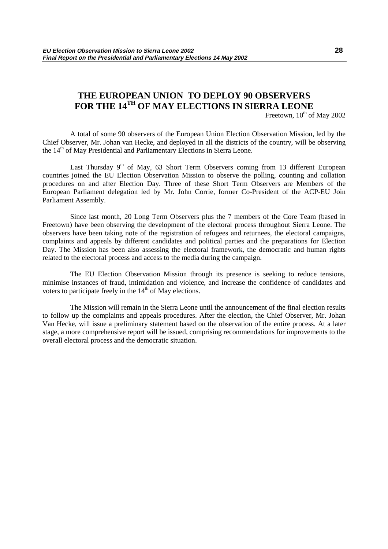## **THE EUROPEAN UNION TO DEPLOY 90 OBSERVERS FOR THE 14TH OF MAY ELECTIONS IN SIERRA LEONE**

Freetown,  $10^{th}$  of May 2002

A total of some 90 observers of the European Union Election Observation Mission, led by the Chief Observer, Mr. Johan van Hecke, and deployed in all the districts of the country, will be observing the 14<sup>th</sup> of May Presidential and Parliamentary Elections in Sierra Leone.

Last Thursday  $9<sup>th</sup>$  of May, 63 Short Term Observers coming from 13 different European countries joined the EU Election Observation Mission to observe the polling, counting and collation procedures on and after Election Day. Three of these Short Term Observers are Members of the European Parliament delegation led by Mr. John Corrie, former Co-President of the ACP-EU Join Parliament Assembly.

Since last month, 20 Long Term Observers plus the 7 members of the Core Team (based in Freetown) have been observing the development of the electoral process throughout Sierra Leone. The observers have been taking note of the registration of refugees and returnees, the electoral campaigns, complaints and appeals by different candidates and political parties and the preparations for Election Day. The Mission has been also assessing the electoral framework, the democratic and human rights related to the electoral process and access to the media during the campaign.

The EU Election Observation Mission through its presence is seeking to reduce tensions, minimise instances of fraud, intimidation and violence, and increase the confidence of candidates and voters to participate freely in the  $14<sup>th</sup>$  of May elections.

The Mission will remain in the Sierra Leone until the announcement of the final election results to follow up the complaints and appeals procedures. After the election, the Chief Observer, Mr. Johan Van Hecke, will issue a preliminary statement based on the observation of the entire process. At a later stage, a more comprehensive report will be issued, comprising recommendations for improvements to the overall electoral process and the democratic situation.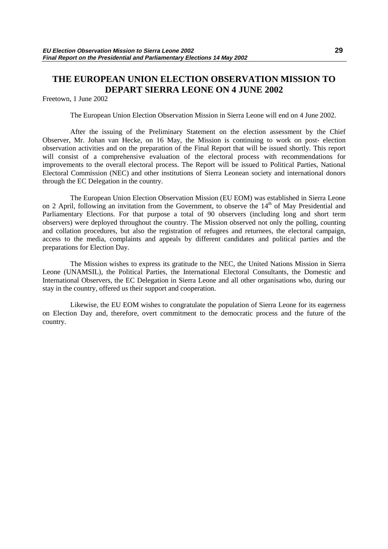## **THE EUROPEAN UNION ELECTION OBSERVATION MISSION TO DEPART SIERRA LEONE ON 4 JUNE 2002**

Freetown, 1 June 2002

The European Union Election Observation Mission in Sierra Leone will end on 4 June 2002.

After the issuing of the Preliminary Statement on the election assessment by the Chief Observer, Mr. Johan van Hecke, on 16 May, the Mission is continuing to work on post- election observation activities and on the preparation of the Final Report that will be issued shortly. This report will consist of a comprehensive evaluation of the electoral process with recommendations for improvements to the overall electoral process. The Report will be issued to Political Parties, National Electoral Commission (NEC) and other institutions of Sierra Leonean society and international donors through the EC Delegation in the country.

The European Union Election Observation Mission (EU EOM) was established in Sierra Leone on 2 April, following an invitation from the Government, to observe the  $14<sup>th</sup>$  of May Presidential and Parliamentary Elections. For that purpose a total of 90 observers (including long and short term observers) were deployed throughout the country. The Mission observed not only the polling, counting and collation procedures, but also the registration of refugees and returnees, the electoral campaign, access to the media, complaints and appeals by different candidates and political parties and the preparations for Election Day.

The Mission wishes to express its gratitude to the NEC, the United Nations Mission in Sierra Leone (UNAMSIL), the Political Parties, the International Electoral Consultants, the Domestic and International Observers, the EC Delegation in Sierra Leone and all other organisations who, during our stay in the country, offered us their support and cooperation.

Likewise, the EU EOM wishes to congratulate the population of Sierra Leone for its eagerness on Election Day and, therefore, overt commitment to the democratic process and the future of the country.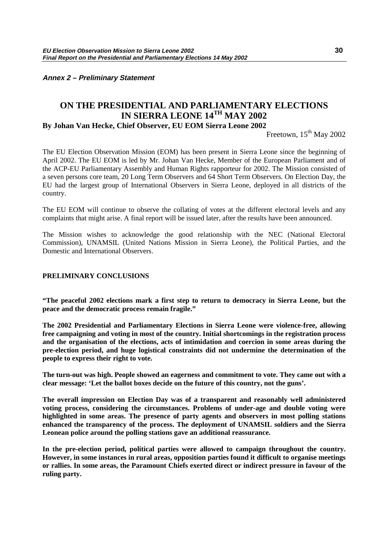<span id="page-31-0"></span>**Annex 2 – Preliminary Statement**

## **ON THE PRESIDENTIAL AND PARLIAMENTARY ELECTIONS IN SIERRA LEONE 14TH MAY 2002**

## **By Johan Van Hecke, Chief Observer, EU EOM Sierra Leone 2002**

Freetown,  $15^{th}$  May 2002

The EU Election Observation Mission (EOM) has been present in Sierra Leone since the beginning of April 2002. The EU EOM is led by Mr. Johan Van Hecke, Member of the European Parliament and of the ACP-EU Parliamentary Assembly and Human Rights rapporteur for 2002. The Mission consisted of a seven persons core team, 20 Long Term Observers and 64 Short Term Observers. On Election Day, the EU had the largest group of International Observers in Sierra Leone, deployed in all districts of the country.

The EU EOM will continue to observe the collating of votes at the different electoral levels and any complaints that might arise. A final report will be issued later, after the results have been announced.

The Mission wishes to acknowledge the good relationship with the NEC (National Electoral Commission), UNAMSIL (United Nations Mission in Sierra Leone), the Political Parties, and the Domestic and International Observers.

### **PRELIMINARY CONCLUSIONS**

**"The peaceful 2002 elections mark a first step to return to democracy in Sierra Leone, but the peace and the democratic process remain fragile."**

**The 2002 Presidential and Parliamentary Elections in Sierra Leone were violence-free, allowing free campaigning and voting in most of the country. Initial shortcomings in the registration process and the organisation of the elections, acts of intimidation and coercion in some areas during the pre-election period, and huge logistical constraints did not undermine the determination of the people to express their right to vote.**

**The turn-out was high. People showed an eagerness and commitment to vote. They came out with a clear message: 'Let the ballot boxes decide on the future of this country, not the guns'.**

**The overall impression on Election Day was of a transparent and reasonably well administered voting process, considering the circumstances. Problems of under-age and double voting were highlighted in some areas. The presence of party agents and observers in most polling stations enhanced the transparency of the process. The deployment of UNAMSIL soldiers and the Sierra Leonean police around the polling stations gave an additional reassurance.**

**In the pre-election period, political parties were allowed to campaign throughout the country. However, in some instances in rural areas, opposition parties found it difficult to organise meetings or rallies. In some areas, the Paramount Chiefs exerted direct or indirect pressure in favour of the ruling party.**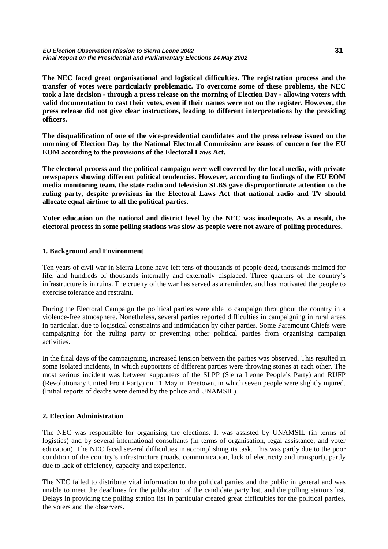**The NEC faced great organisational and logistical difficulties. The registration process and the transfer of votes were particularly problematic. To overcome some of these problems, the NEC took a late decision - through a press release on the morning of Election Day - allowing voters with valid documentation to cast their votes, even if their names were not on the register. However, the press release did not give clear instructions, leading to different interpretations by the presiding officers.**

**The disqualification of one of the vice-presidential candidates and the press release issued on the morning of Election Day by the National Electoral Commission are issues of concern for the EU EOM according to the provisions of the Electoral Laws Act.**

**The electoral process and the political campaign were well covered by the local media, with private newspapers showing different political tendencies. However, according to findings of the EU EOM media monitoring team, the state radio and television SLBS gave disproportionate attention to the ruling party, despite provisions in the Electoral Laws Act that national radio and TV should allocate equal airtime to all the political parties.**

**Voter education on the national and district level by the NEC was inadequate. As a result, the electoral process in some polling stations was slow as people were not aware of polling procedures.**

### **1. Background and Environment**

Ten years of civil war in Sierra Leone have left tens of thousands of people dead, thousands maimed for life, and hundreds of thousands internally and externally displaced. Three quarters of the country's infrastructure is in ruins. The cruelty of the war has served as a reminder, and has motivated the people to exercise tolerance and restraint.

During the Electoral Campaign the political parties were able to campaign throughout the country in a violence-free atmosphere. Nonetheless, several parties reported difficulties in campaigning in rural areas in particular, due to logistical constraints and intimidation by other parties. Some Paramount Chiefs were campaigning for the ruling party or preventing other political parties from organising campaign activities.

In the final days of the campaigning, increased tension between the parties was observed. This resulted in some isolated incidents, in which supporters of different parties were throwing stones at each other. The most serious incident was between supporters of the SLPP (Sierra Leone People's Party) and RUFP (Revolutionary United Front Party) on 11 May in Freetown, in which seven people were slightly injured. (Initial reports of deaths were denied by the police and UNAMSIL).

### **2. Election Administration**

The NEC was responsible for organising the elections. It was assisted by UNAMSIL (in terms of logistics) and by several international consultants (in terms of organisation, legal assistance, and voter education). The NEC faced several difficulties in accomplishing its task. This was partly due to the poor condition of the country's infrastructure (roads, communication, lack of electricity and transport), partly due to lack of efficiency, capacity and experience.

The NEC failed to distribute vital information to the political parties and the public in general and was unable to meet the deadlines for the publication of the candidate party list, and the polling stations list. Delays in providing the polling station list in particular created great difficulties for the political parties, the voters and the observers.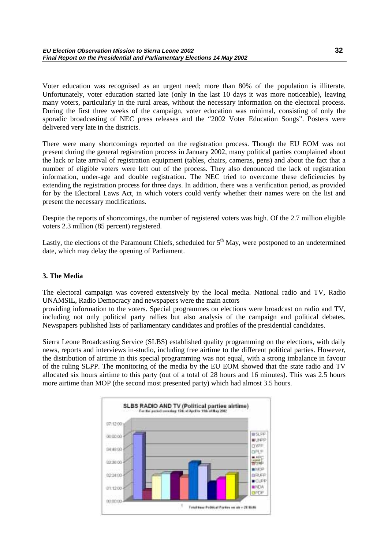Voter education was recognised as an urgent need; more than 80% of the population is illiterate. Unfortunately, voter education started late (only in the last 10 days it was more noticeable), leaving many voters, particularly in the rural areas, without the necessary information on the electoral process. During the first three weeks of the campaign, voter education was minimal, consisting of only the sporadic broadcasting of NEC press releases and the "2002 Voter Education Songs". Posters were delivered very late in the districts.

There were many shortcomings reported on the registration process. Though the EU EOM was not present during the general registration process in January 2002, many political parties complained about the lack or late arrival of registration equipment (tables, chairs, cameras, pens) and about the fact that a number of eligible voters were left out of the process. They also denounced the lack of registration information, under-age and double registration. The NEC tried to overcome these deficiencies by extending the registration process for three days. In addition, there was a verification period, as provided for by the Electoral Laws Act, in which voters could verify whether their names were on the list and present the necessary modifications.

Despite the reports of shortcomings, the number of registered voters was high. Of the 2.7 million eligible voters 2.3 million (85 percent) registered.

Lastly, the elections of the Paramount Chiefs, scheduled for  $5<sup>th</sup>$  May, were postponed to an undetermined date, which may delay the opening of Parliament.

### **3. The Media**

The electoral campaign was covered extensively by the local media. National radio and TV, Radio UNAMSIL, Radio Democracy and newspapers were the main actors

providing information to the voters. Special programmes on elections were broadcast on radio and TV, including not only political party rallies but also analysis of the campaign and political debates. Newspapers published lists of parliamentary candidates and profiles of the presidential candidates.

Sierra Leone Broadcasting Service (SLBS) established quality programming on the elections, with daily news, reports and interviews in-studio, including free airtime to the different political parties. However, the distribution of airtime in this special programming was not equal, with a strong imbalance in favour of the ruling SLPP. The monitoring of the media by the EU EOM showed that the state radio and TV allocated six hours airtime to this party (out of a total of 28 hours and 16 minutes). This was 2.5 hours more airtime than MOP (the second most presented party) which had almost 3.5 hours.

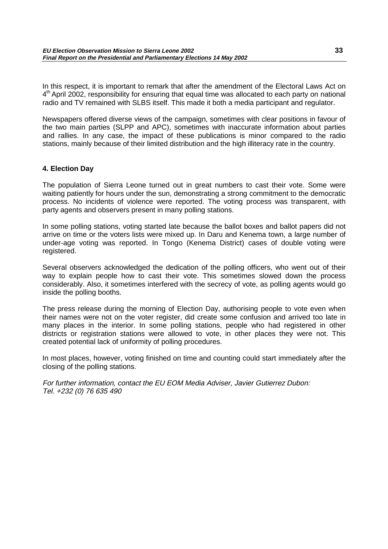In this respect, it is important to remark that after the amendment of the Electoral Laws Act on  $4<sup>th</sup>$  April 2002, responsibility for ensuring that equal time was allocated to each party on national radio and TV remained with SLBS itself. This made it both a media participant and regulator.

Newspapers offered diverse views of the campaign, sometimes with clear positions in favour of the two main parties (SLPP and APC), sometimes with inaccurate information about parties and rallies. In any case, the impact of these publications is minor compared to the radio stations, mainly because of their limited distribution and the high illiteracy rate in the country.

## **4. Election Day**

The population of Sierra Leone turned out in great numbers to cast their vote. Some were waiting patiently for hours under the sun, demonstrating a strong commitment to the democratic process. No incidents of violence were reported. The voting process was transparent, with party agents and observers present in many polling stations.

In some polling stations, voting started late because the ballot boxes and ballot papers did not arrive on time or the voters lists were mixed up. In Daru and Kenema town, a large number of under-age voting was reported. In Tongo (Kenema District) cases of double voting were registered.

Several observers acknowledged the dedication of the polling officers, who went out of their way to explain people how to cast their vote. This sometimes slowed down the process considerably. Also, it sometimes interfered with the secrecy of vote, as polling agents would go inside the polling booths.

The press release during the morning of Election Day, authorising people to vote even when their names were not on the voter register, did create some confusion and arrived too late in many places in the interior. In some polling stations, people who had registered in other districts or registration stations were allowed to vote, in other places they were not. This created potential lack of uniformity of polling procedures.

In most places, however, voting finished on time and counting could start immediately after the closing of the polling stations.

For further information, contact the EU EOM Media Adviser, Javier Gutierrez Dubon: Tel. +232 (0) 76 635 490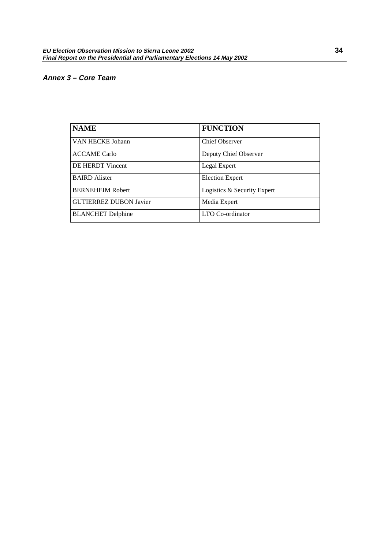## <span id="page-35-0"></span>**Annex 3 – Core Team**

| <b>NAME</b>                   | <b>FUNCTION</b>             |
|-------------------------------|-----------------------------|
| VAN HECKE Johann              | <b>Chief Observer</b>       |
| <b>ACCAME Carlo</b>           | Deputy Chief Observer       |
| <b>DE HERDT Vincent</b>       | Legal Expert                |
| <b>BAIRD</b> Alister          | <b>Election Expert</b>      |
| <b>BERNEHEIM Robert</b>       | Logistics & Security Expert |
| <b>GUTIERREZ DUBON Javier</b> | Media Expert                |
| <b>BLANCHET</b> Delphine      | LTO Co-ordinator            |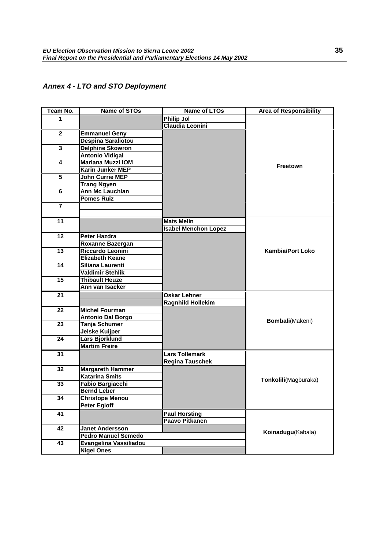## <span id="page-36-0"></span>**Annex 4 - LTO and STO Deployment**

| Team No.                | <b>Name of STOs</b>        | <b>Name of LTOs</b>         | <b>Area of Responsibility</b> |
|-------------------------|----------------------------|-----------------------------|-------------------------------|
| 1                       |                            | <b>Philip Jol</b>           |                               |
|                         |                            | Claudia Leonini             |                               |
| $\overline{2}$          | <b>Emmanuel Geny</b>       |                             |                               |
|                         | <b>Despina Saraliotou</b>  |                             |                               |
| $\overline{\mathbf{3}}$ | <b>Delphine Skowron</b>    |                             |                               |
|                         | <b>Antonio Vidigal</b>     |                             |                               |
| 4                       | <b>Mariana Muzzi IOM</b>   |                             |                               |
|                         | <b>Karin Junker MEP</b>    |                             | Freetown                      |
| 5                       | John Currie MEP            |                             |                               |
|                         | <b>Trang Ngyen</b>         |                             |                               |
| 6                       | <b>Ann Mc Lauchlan</b>     |                             |                               |
|                         | <b>Pomes Ruiz</b>          |                             |                               |
| $\overline{7}$          |                            |                             |                               |
|                         |                            |                             |                               |
| 11                      |                            | <b>Mats Melin</b>           |                               |
|                         |                            | <b>Isabel Menchon Lopez</b> |                               |
| 12                      | <b>Peter Hazdra</b>        |                             |                               |
|                         | Roxanne Bazergan           |                             |                               |
| 13                      | Riccardo Leonini           |                             | <b>Kambia/Port Loko</b>       |
|                         | <b>Elizabeth Keane</b>     |                             |                               |
| $\overline{14}$         | Siliana Laurenti           |                             |                               |
|                         | Valdimir Stehlik           |                             |                               |
| 15                      | <b>Thibault Heuze</b>      |                             |                               |
|                         | Ann van Isacker            |                             |                               |
| 21                      |                            | <b>Oskar Lehner</b>         |                               |
|                         |                            | <b>Ragnhild Hollekim</b>    |                               |
| 22                      | <b>Michel Fourman</b>      |                             |                               |
|                         | <b>Antonio Dal Borgo</b>   |                             |                               |
| 23                      | Tanja Schumer              |                             | Bombali(Makeni)               |
|                         | <b>Jelske Kuijper</b>      |                             |                               |
| 24                      | Lars Bjorklund             |                             |                               |
|                         | <b>Martim Freire</b>       |                             |                               |
| 31                      |                            | Lars Tollemark              |                               |
|                         |                            | <b>Regina Tauschek</b>      |                               |
| 32                      | <b>Margareth Hammer</b>    |                             |                               |
|                         | <b>Katarina Smits</b>      |                             |                               |
| 33                      | <b>Fabio Bargiacchi</b>    |                             | Tonkolili(Magburaka)          |
|                         | <b>Bernd Leber</b>         |                             |                               |
| 34                      | <b>Christope Menou</b>     |                             |                               |
|                         | <b>Peter Egloff</b>        |                             |                               |
| 41                      |                            | <b>Paul Horsting</b>        |                               |
|                         |                            | <b>Paavo Pitkanen</b>       |                               |
| 42                      | <b>Janet Andersson</b>     |                             |                               |
|                         | <b>Pedro Manuel Semedo</b> |                             | Koinadugu(Kabala)             |
| 43                      | Evangelina Vassiliadou     |                             |                               |
|                         | <b>Nigel Ones</b>          |                             |                               |
|                         |                            |                             |                               |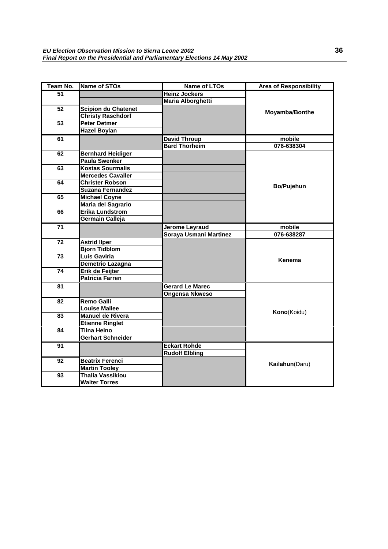| Team No.        | <b>Name of STOs</b>        | Name of LTOs             | <b>Area of Responsibility</b> |
|-----------------|----------------------------|--------------------------|-------------------------------|
| 51              |                            | <b>Heinz Jockers</b>     |                               |
|                 |                            | <b>Maria Alborghetti</b> |                               |
| $\overline{52}$ | <b>Scipion du Chatenet</b> |                          |                               |
|                 | <b>Christy Raschdorf</b>   |                          | Moyamba/Bonthe                |
| $\overline{53}$ | <b>Peter Detmer</b>        |                          |                               |
|                 | <b>Hazel Boylan</b>        |                          |                               |
| 61              |                            | <b>David Throup</b>      | mobile                        |
|                 |                            | <b>Bard Thorheim</b>     | 076-638304                    |
| 62              | <b>Bernhard Heidiger</b>   |                          |                               |
|                 | <b>Paula Swenker</b>       |                          |                               |
| 63              | <b>Kostas Sourmalis</b>    |                          |                               |
|                 | <b>Mercedes Cavaller</b>   |                          |                               |
| 64              | <b>Christer Robson</b>     |                          | <b>Bo/Pujehun</b>             |
|                 | <b>Suzana Fernandez</b>    |                          |                               |
| 65              | <b>Michael Coyne</b>       |                          |                               |
|                 | Maria del Sagrario         |                          |                               |
| 66              | <b>Erika Lundstrom</b>     |                          |                               |
|                 | Germain Calleja            |                          |                               |
| 71              |                            | Jerome Leyraud           | mobile                        |
|                 |                            | Soraya Usmani Martinez   | 076-638287                    |
| 72              | <b>Astrid liper</b>        |                          |                               |
|                 | <b>Bjorn Tidblom</b>       |                          |                               |
| 73              | Luis Gaviria               |                          | Kenema                        |
|                 | Demetrio Lazagna           |                          |                               |
| 74              | Erik de Feijter            |                          |                               |
|                 | <b>Patricia Farren</b>     |                          |                               |
| 81              |                            | <b>Gerard Le Marec</b>   |                               |
|                 |                            | <b>Ongensa Nkweso</b>    |                               |
| 82              | <b>Remo Galli</b>          |                          |                               |
|                 | <b>Louise Mallee</b>       |                          | Kono(Koidu)                   |
| 83              | <b>Manuel de Rivera</b>    |                          |                               |
|                 | <b>Etienne Ringlet</b>     |                          |                               |
| 84              | <b>Tiina Heino</b>         |                          |                               |
|                 | Gerhart Schneider          |                          |                               |
| 91              |                            | <b>Eckart Rohde</b>      |                               |
|                 |                            | <b>Rudolf Elbling</b>    |                               |
| $\overline{92}$ | <b>Beatrix Ferenci</b>     |                          |                               |
|                 | <b>Martin Tooley</b>       |                          | Kailahun(Daru)                |
| 93              | <b>Thalia Vassikiou</b>    |                          |                               |
|                 | <b>Walter Torres</b>       |                          |                               |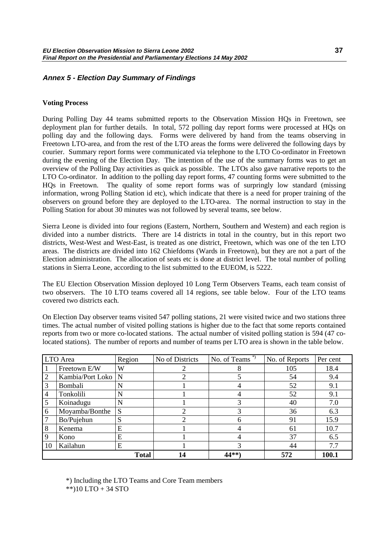## <span id="page-38-0"></span>**Annex 5 - Election Day Summary of Findings**

#### **Voting Process**

During Polling Day 44 teams submitted reports to the Observation Mission HQs in Freetown, see deployment plan for further details. In total, 572 polling day report forms were processed at HQs on polling day and the following days. Forms were delivered by hand from the teams observing in Freetown LTO-area, and from the rest of the LTO areas the forms were delivered the following days by courier. Summary report forms were communicated via telephone to the LTO Co-ordinator in Freetown during the evening of the Election Day. The intention of the use of the summary forms was to get an overview of the Polling Day activities as quick as possible. The LTOs also gave narrative reports to the LTO Co-ordinator. In addition to the polling day report forms, 47 counting forms were submitted to the HQs in Freetown. The quality of some report forms was of surpringly low standard (missing information, wrong Polling Station id etc), which indicate that there is a need for proper training of the observers on ground before they are deployed to the LTO-area. The normal instruction to stay in the Polling Station for about 30 minutes was not followed by several teams, see below.

Sierra Leone is divided into four regions (Eastern, Northern, Southern and Western) and each region is divided into a number districts. There are 14 districts in total in the country, but in this report two districts, West-West and West-East, is treated as one district, Freetown, which was one of the ten LTO areas. The districts are divided into 162 Chiefdoms (Wards in Freetown), but they are not a part of the Election administration. The allocation of seats etc is done at district level. The total number of polling stations in Sierra Leone, according to the list submitted to the EUEOM, is 5222.

The EU Election Observation Mission deployed 10 Long Term Observers Teams, each team consist of two observers. The 10 LTO teams covered all 14 regions, see table below. Four of the LTO teams covered two districts each.

On Election Day observer teams visited 547 polling stations, 21 were visited twice and two stations three times. The actual number of visited polling stations is higher due to the fact that some reports contained reports from two or more co-located stations. The actual number of visited polling station is 594 (47 colocated stations). The number of reports and number of teams per LTO area is shown in the table below.

|                  | LTO Area             | Region       | No of Districts | No. of Teams $*$ | No. of Reports | Per cent |
|------------------|----------------------|--------------|-----------------|------------------|----------------|----------|
| $\vert$ 1        | Freetown E/W         | W            |                 |                  | 105            | 18.4     |
| $\overline{2}$   | Kambia/Port Loko   N |              | ∍               |                  | 54             | 9.4      |
| $\overline{3}$   | Bombali              | N            |                 |                  | 52             | 9.1      |
| $\overline{4}$   | Tonkolili            | N            |                 |                  | 52             | 9.1      |
| 5                | Koinadugu            | N            |                 |                  | 40             | 7.0      |
| 6                | Moyamba/Bonthe       | S            | ∍               |                  | 36             | 6.3      |
| 7                | Bo/Pujehun           | S            | 2               | 6                | 91             | 15.9     |
| $\boldsymbol{8}$ | Kenema               | E            |                 |                  | 61             | 10.7     |
| 9                | Kono                 | E            |                 |                  | 37             | 6.5      |
| <b>10</b>        | Kailahun             | E            |                 |                  | 44             | 7.7      |
|                  |                      | <b>Total</b> | 14              | $44**$           | 572            | 100.1    |

\*) Including the LTO Teams and Core Team members

\*\*)10 LTO + 34 STO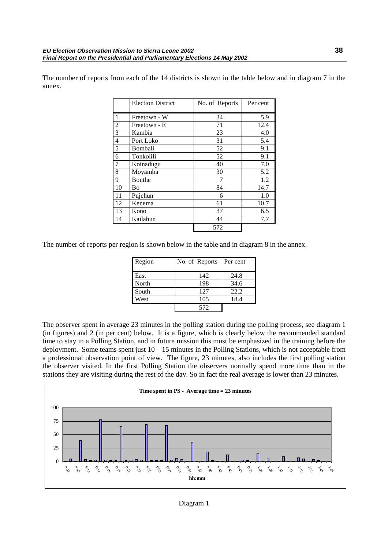The number of reports from each of the 14 districts is shown in the table below and in diagram 7 in the annex.

|                | <b>Election District</b> | No. of Reports | Per cent |
|----------------|--------------------------|----------------|----------|
| $\mathbf{1}$   | Freetown - W             | 34             | 5.9      |
| $\overline{2}$ | Freetown - E             | 71             | 12.4     |
| $\overline{3}$ | Kambia                   | 23             | 4.0      |
| $\overline{4}$ | Port Loko                | 31             | 5.4      |
| $\overline{5}$ | Bombali                  | 52             | 9.1      |
| 6              | Tonkolili                | 52             | 9.1      |
| $\overline{7}$ | Koinadugu                | 40             | 7.0      |
| 8              | Moyamba                  | 30             | 5.2      |
| 9              | Bonthe                   | 7              | 1.2      |
| 10             | Bo                       | 84             | 14.7     |
| 11             | Pujehun                  | 6              | 1.0      |
| 12             | Kenema                   | 61             | 10.7     |
| 13             | Kono                     | 37             | 6.5      |
| 14             | Kailahun                 | 44             | 7.7      |
|                |                          | 572            |          |

The number of reports per region is shown below in the table and in diagram 8 in the annex.

| Region | No. of Reports | Per cent |
|--------|----------------|----------|
| East   | 142            | 24.8     |
| North  | 198            | 34.6     |
| South  | 127            | 22.2     |
| West   | 105            | 18.4     |
|        | 572            |          |

The observer spent in average 23 minutes in the polling station during the polling process, see diagram 1 (in figures) and 2 (in per cent) below. It is a figure, which is clearly below the recommended standard time to stay in a Polling Station, and in future mission this must be emphasized in the training before the deployment. Some teams spent just 10 – 15 minutes in the Polling Stations, which is not acceptable from a professional observation point of view. The figure, 23 minutes, also includes the first polling station the observer visited. In the first Polling Station the observers normally spend more time than in the stations they are visiting during the rest of the day. So in fact the real average is lower than 23 minutes.

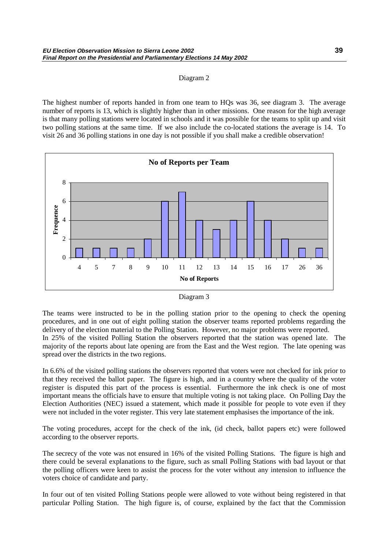#### Diagram 2

The highest number of reports handed in from one team to HQs was 36, see diagram 3. The average number of reports is 13, which is slightly higher than in other missions. One reason for the high average is that many polling stations were located in schools and it was possible for the teams to split up and visit two polling stations at the same time. If we also include the co-located stations the average is 14. To visit 26 and 36 polling stations in one day is not possible if you shall make a credible observation!



| Diagram 3 |  |
|-----------|--|
|-----------|--|

The teams were instructed to be in the polling station prior to the opening to check the opening procedures, and in one out of eight polling station the observer teams reported problems regarding the delivery of the election material to the Polling Station. However, no major problems were reported.

In 25% of the visited Polling Station the observers reported that the station was opened late. The majority of the reports about late opening are from the East and the West region. The late opening was spread over the districts in the two regions.

In 6.6% of the visited polling stations the observers reported that voters were not checked for ink prior to that they received the ballot paper. The figure is high, and in a country where the quality of the voter register is disputed this part of the process is essential. Furthermore the ink check is one of most important means the officials have to ensure that multiple voting is not taking place. On Polling Day the Election Authorities (NEC) issued a statement, which made it possible for people to vote even if they were not included in the voter register. This very late statement emphasises the importance of the ink.

The voting procedures, accept for the check of the ink, (id check, ballot papers etc) were followed according to the observer reports.

The secrecy of the vote was not ensured in 16% of the visited Polling Stations. The figure is high and there could be several explanations to the figure, such as small Polling Stations with bad layout or that the polling officers were keen to assist the process for the voter without any intension to influence the voters choice of candidate and party.

In four out of ten visited Polling Stations people were allowed to vote without being registered in that particular Polling Station. The high figure is, of course, explained by the fact that the Commission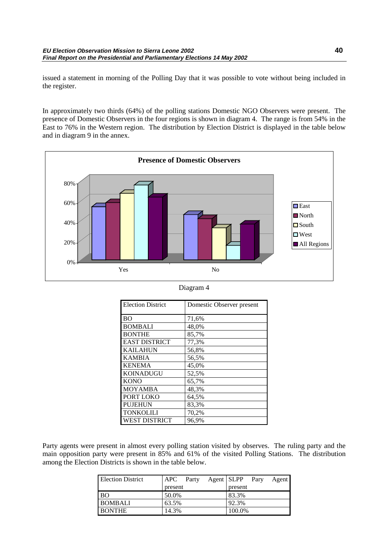issued a statement in morning of the Polling Day that it was possible to vote without being included in the register.

In approximately two thirds (64%) of the polling stations Domestic NGO Observers were present. The presence of Domestic Observers in the four regions is shown in diagram 4. The range is from 54% in the East to 76% in the Western region. The distribution by Election District is displayed in the table below and in diagram 9 in the annex.



| Diagram 4 |  |
|-----------|--|
|-----------|--|

| <b>Election District</b> | Domestic Observer present |
|--------------------------|---------------------------|
| B <sub>O</sub>           | 71,6%                     |
| <b>BOMBALI</b>           | 48,0%                     |
| <b>BONTHE</b>            | 85,7%                     |
| <b>EAST DISTRICT</b>     | 77,3%                     |
| <b>KAILAHUN</b>          | 56,8%                     |
| <b>KAMBIA</b>            | 56,5%                     |
| <b>KENEMA</b>            | 45,0%                     |
| KOINADUGU                | 52,5%                     |
| <b>KONO</b>              | 65,7%                     |
| MOYAMBA                  | 48,3%                     |
| PORT LOKO                | 64,5%                     |
| <b>PUJEHUN</b>           | 83,3%                     |
| <b>TONKOLILI</b>         | 70,2%                     |
| <b>WEST DISTRICT</b>     | 96,9%                     |

Party agents were present in almost every polling station visited by observes. The ruling party and the main opposition party were present in 85% and 61% of the visited Polling Stations. The distribution among the Election Districts is shown in the table below.

| <b>Election District</b> | APC Party |  | Agent SLPP Pary | Agent |
|--------------------------|-----------|--|-----------------|-------|
|                          | present   |  | present         |       |
| <b>BO</b>                | 50.0%     |  | 83.3%           |       |
| <b>BOMBALI</b>           | 63.5%     |  | 92.3%           |       |
| <b>BONTHE</b>            | 14.3%     |  | 100.0%          |       |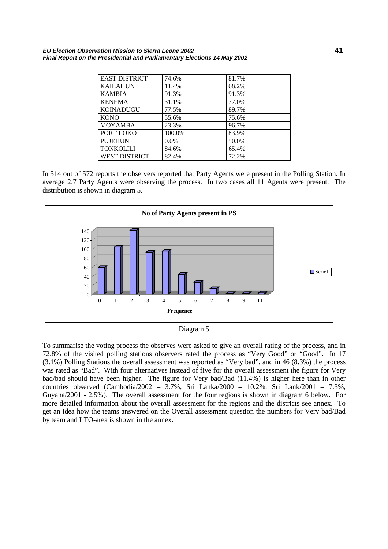| <b>EAST DISTRICT</b> | 74.6%   | 81.7% |
|----------------------|---------|-------|
| <b>KAILAHUN</b>      | 11.4%   | 68.2% |
| <b>KAMBIA</b>        | 91.3%   | 91.3% |
| <b>KENEMA</b>        | 31.1%   | 77.0% |
| <b>KOINADUGU</b>     | 77.5%   | 89.7% |
| <b>KONO</b>          | 55.6%   | 75.6% |
| <b>MOYAMBA</b>       | 23.3%   | 96.7% |
| PORT LOKO            | 100.0%  | 83.9% |
| <b>PUJEHUN</b>       | $0.0\%$ | 50.0% |
| <b>TONKOLILI</b>     | 84.6%   | 65.4% |
| <b>WEST DISTRICT</b> | 82.4%   | 72.2% |

In 514 out of 572 reports the observers reported that Party Agents were present in the Polling Station. In average 2.7 Party Agents were observing the process. In two cases all 11 Agents were present. The distribution is shown in diagram 5.



Diagram 5

To summarise the voting process the observes were asked to give an overall rating of the process, and in 72.8% of the visited polling stations observers rated the process as "Very Good" or "Good". In 17 (3.1%) Polling Stations the overall assessment was reported as "Very bad", and in 46 (8.3%) the process was rated as "Bad". With four alternatives instead of five for the overall assessment the figure for Very bad/bad should have been higher. The figure for Very bad/Bad (11.4%) is higher here than in other countries observed (Cambodia/2002 – 3.7%, Sri Lanka/2000 – 10.2%, Sri Lank/2001 – 7.3%, Guyana/2001 - 2.5%). The overall assessment for the four regions is shown in diagram 6 below. For more detailed information about the overall assessment for the regions and the districts see annex. To get an idea how the teams answered on the Overall assessment question the numbers for Very bad/Bad by team and LTO-area is shown in the annex.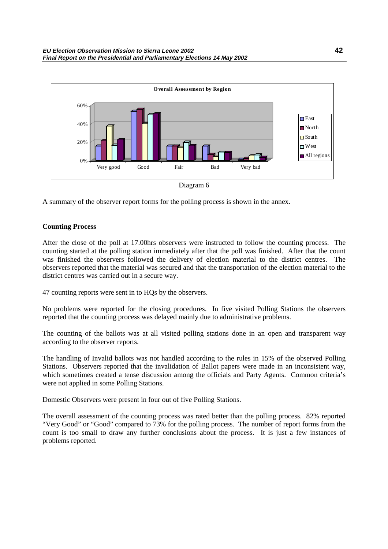

Diagram 6

A summary of the observer report forms for the polling process is shown in the annex.

### **Counting Process**

After the close of the poll at 17.00hrs observers were instructed to follow the counting process. The counting started at the polling station immediately after that the poll was finished. After that the count was finished the observers followed the delivery of election material to the district centres. The observers reported that the material was secured and that the transportation of the election material to the district centres was carried out in a secure way.

47 counting reports were sent in to HQs by the observers.

No problems were reported for the closing procedures. In five visited Polling Stations the observers reported that the counting process was delayed mainly due to administrative problems.

The counting of the ballots was at all visited polling stations done in an open and transparent way according to the observer reports.

The handling of Invalid ballots was not handled according to the rules in 15% of the observed Polling Stations. Observers reported that the invalidation of Ballot papers were made in an inconsistent way, which sometimes created a tense discussion among the officials and Party Agents. Common criteria's were not applied in some Polling Stations.

Domestic Observers were present in four out of five Polling Stations.

The overall assessment of the counting process was rated better than the polling process. 82% reported "Very Good" or "Good" compared to 73% for the polling process. The number of report forms from the count is too small to draw any further conclusions about the process. It is just a few instances of problems reported.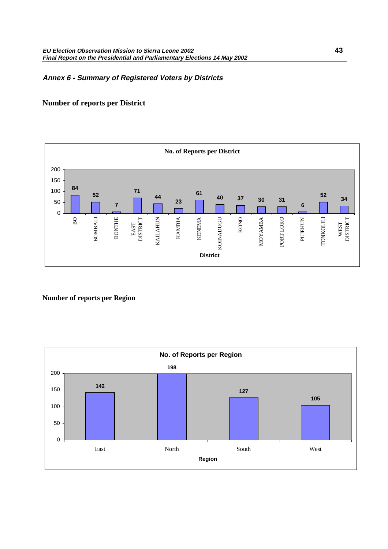## <span id="page-44-0"></span>**Annex 6 - Summary of Registered Voters by Districts**

## **Number of reports per District**



**Number of reports per Region**

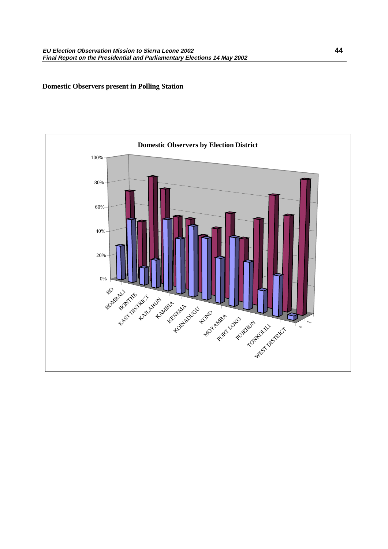### **Domestic Observers present in Polling Station**

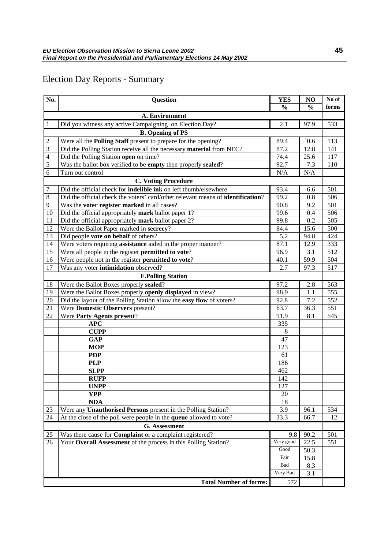## Election Day Reports - Summary

| No.                        | <b>Question</b>                                                                 | <b>YES</b>    | NO            | No of |  |
|----------------------------|---------------------------------------------------------------------------------|---------------|---------------|-------|--|
|                            |                                                                                 | $\frac{0}{0}$ | $\frac{0}{0}$ | forms |  |
|                            | A. Environment                                                                  |               |               |       |  |
| $\mathbf{1}$               | Did you witness any active Campaigning on Election Day?                         | 2.1           | 97.9          | 533   |  |
|                            | <b>B.</b> Opening of PS                                                         |               |               |       |  |
| $\overline{2}$             | Were all the <b>Polling Staff</b> present to prepare for the opening?           | 89.4          | 0.6           | 113   |  |
| $\overline{3}$             | Did the Polling Station receive all the necessary material from NEC?            | 87.2          | 12.8          | 141   |  |
| $\overline{4}$             | Did the Polling Station open on time?                                           | 74.4          | 25.6          | 117   |  |
| 5                          | Was the ballot box verified to be empty then properly sealed?                   | 92.7          | 7.3           | 110   |  |
| 6                          | Turn out control                                                                | N/A           | N/A           |       |  |
| <b>C. Voting Procedure</b> |                                                                                 |               |               |       |  |
| $\overline{7}$             | Did the official check for indelible ink on left thumb/elsewhere                | 93.4          | 6.6           | 501   |  |
| 8                          | Did the official check the voters' card/other relevant means of identification? | 99.2          | 0.8           | 506   |  |
| $\overline{9}$             | Was the <b>voter register marked</b> in all cases?                              | 90.8          | 9.2           | 501   |  |
| 10                         | Did the official appropriately mark ballot paper 1?                             | 99.6          | 0.4           | 506   |  |
| 11                         | Did the official appropriately mark ballot paper 2?                             | 99.8          | 0.2           | 505   |  |
| 12                         | Were the Ballot Paper marked in secrecy?                                        | 84.4          | 15.6          | 500   |  |
| 13                         | Did people vote on behalf of others?                                            | 5.2           | 94.8          | 424   |  |
| 14                         | Were voters requiring assistance aided in the proper manner?                    | 87.1          | 12.9          | 333   |  |
| 15                         | Were all people in the register permitted to vote?                              | 96.9          | 3.1           | 512   |  |
| 16                         | Were people not in the register permitted to vote?                              | 40.1          | 59.9          | 504   |  |
| 17                         | Was any voter intimidation observed?                                            | 2.7           | 97.3          | 517   |  |
|                            | <b>F.Polling Station</b>                                                        |               |               |       |  |
| 18                         | Were the Ballot Boxes properly sealed?                                          | 97.2          | 2.8           | 563   |  |
| 19                         | Were the Ballot Boxes properly openly displayed in view?                        | 98.9          | 1.1           | 555   |  |
| 20                         | Did the layout of the Polling Station allow the easy flow of voters?            | 92.8          | 7.2           | 552   |  |
| 21                         | Were Domestic Observers present?                                                | 63.7          | 36.3          | 551   |  |
| 22                         | Were Party Agents present?                                                      | 91.9          | 8.1           | 545   |  |
|                            | <b>APC</b>                                                                      | 335           |               |       |  |
|                            | <b>CUPP</b>                                                                     | 8             |               |       |  |
|                            | <b>GAP</b>                                                                      | 47            |               |       |  |
|                            | <b>MOP</b>                                                                      | 123           |               |       |  |
|                            | <b>PDP</b>                                                                      | 61            |               |       |  |
|                            | <b>PLP</b>                                                                      | 186           |               |       |  |
|                            | <b>SLPP</b>                                                                     | 462           |               |       |  |
|                            | <b>RUFP</b>                                                                     | 142           |               |       |  |
|                            | <b>UNPP</b>                                                                     | 127           |               |       |  |
|                            | <b>YPP</b>                                                                      | 20            |               |       |  |
|                            | <b>NDA</b>                                                                      | 18            |               |       |  |
| 23                         | Were any Unauthorised Persons present in the Polling Station?                   | 3.9           | 96.1          | 534   |  |
| 24                         | At the close of the poll were people in the queue allowed to vote?              | 33.3          | 66.7          | 12    |  |
|                            | G. Assessment                                                                   |               |               |       |  |
| 25                         | Was there cause for <b>Complaint</b> or a complaint registered?                 | 9.8           | 90.2          | 501   |  |
| 26                         | Your Overall Assessment of the process in this Polling Station?                 | Very good     | 22.5          | 551   |  |
|                            |                                                                                 | Good          | 50.3          |       |  |
|                            |                                                                                 | Fair          | 15.8          |       |  |
|                            |                                                                                 | Bad           | 8.3           |       |  |
|                            |                                                                                 | Very Bad      | 3.1           |       |  |
|                            | <b>Total Number of forms:</b>                                                   | 572           |               |       |  |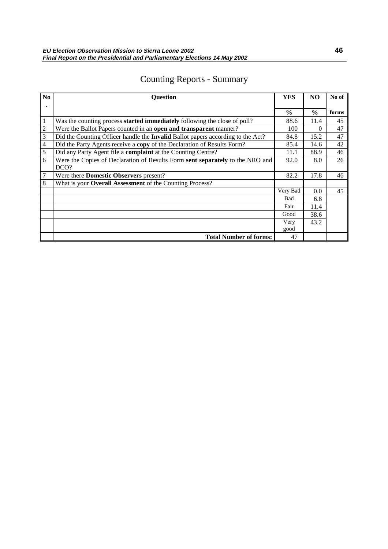## Counting Reports - Summary

| N <sub>0</sub> | <b>Question</b>                                                                        | YES           | N <sub>O</sub> | No of |
|----------------|----------------------------------------------------------------------------------------|---------------|----------------|-------|
|                |                                                                                        |               |                |       |
|                |                                                                                        | $\frac{0}{0}$ | $\frac{0}{0}$  | forms |
| 1              | Was the counting process <b>started immediately</b> following the close of poll?       | 88.6          | 11.4           | 45    |
| $\overline{2}$ | Were the Ballot Papers counted in an open and transparent manner?                      | 100           | $\Omega$       | 47    |
| 3              | Did the Counting Officer handle the <b>Invalid</b> Ballot papers according to the Act? | 84.8          | 15.2           | 47    |
| $\overline{4}$ | Did the Party Agents receive a copy of the Declaration of Results Form?                | 85.4          | 14.6           | 42    |
| 5              | Did any Party Agent file a complaint at the Counting Centre?                           | 11.1          | 88.9           | 46    |
| 6              | Were the Copies of Declaration of Results Form sent separately to the NRO and          | 92.0          | 8.0            | 26    |
|                | DCO?                                                                                   |               |                |       |
| 7              | Were there <b>Domestic Observers</b> present?                                          | 82.2          | 17.8           | 46    |
| 8              | What is your Overall Assessment of the Counting Process?                               |               |                |       |
|                |                                                                                        | Very Bad      | 0.0            | 45    |
|                |                                                                                        | Bad           | 6.8            |       |
|                |                                                                                        | Fair          | 11.4           |       |
|                |                                                                                        | Good          | 38.6           |       |
|                |                                                                                        | Very          | 43.2           |       |
|                |                                                                                        | good          |                |       |
|                | <b>Total Number of forms:</b>                                                          | 47            |                |       |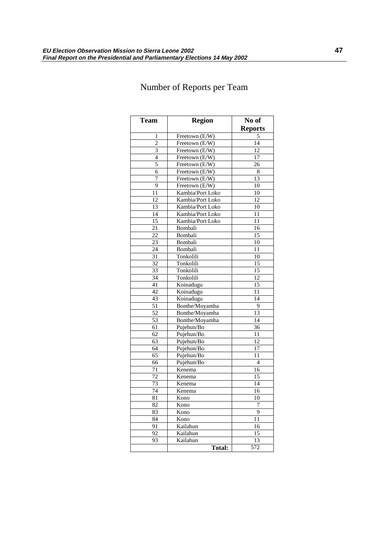## Number of Reports per Team

| Team            | <b>Region</b>                      | No of           |
|-----------------|------------------------------------|-----------------|
|                 |                                    | <b>Reports</b>  |
| 1               | Freetown (E/W)                     | 5               |
| $\overline{c}$  | Freetown (E/W)                     | 14              |
| $\overline{3}$  | $\overline{\text{Freetown}}$ (E/W) | 12              |
| 4               | Freetown (E/W)                     | 17              |
| 5               | Freetown (E/W)                     | 26              |
| 6               | Freetown (E/W)                     | 8               |
| 7               | Freetown (E/W)                     | 13              |
| 9               | Freetown (E/W)                     | 10              |
| $\overline{11}$ | Kambia/Port Loko                   | 10              |
| 12              | Kambia/Port Loko                   | 12              |
| 13              | Kambia/Port Loko                   | 10              |
| 14              | Kambia/Port Loko                   | 11              |
| 15              | Kambia/Port Loko                   | 11              |
| 21              | Bombali                            | 16              |
| 22              | Bombali                            | 15              |
| 23              | Bombali                            | 10              |
| 24              | Bombali                            | 11              |
| 31              | Tonkolili                          | 10              |
| 32              | Tonkolili                          | 15              |
| 33              | Tonkolili                          | 15              |
| 34              | Tonkolili                          | $\overline{12}$ |
| 41              | Koinadugu                          | 15              |
| 42              | Koinadugu                          | 11              |
| 43              | Koinadugu                          | 14              |
| 51              | Bonthe/Moyamba                     | 9               |
| 52              | Bonthe/Moyamba                     | 13              |
| 53              | Bonthe/Moyamba                     | 14              |
| 61              | Pujehun/Bo                         | 36              |
| 62              | Pujehun/Bo                         | 11              |
| 63              | Pujehun/Bo                         | 12              |
| 64              | Pujehun/Bo                         | 17              |
| 65              | Pujehun/Bo                         | 11              |
| 66              | Pujehun/Bo                         | $\overline{4}$  |
| 71              | Kenema                             | 16              |
| $\overline{72}$ | Kenema                             | 15              |
| 73              | Kenema                             | 14              |
| 74              | Kenema                             | 16              |
| 81              | Kono                               | 10              |
| 82              | Kono                               | 7               |
| 83              | Kono                               | 9               |
| 84              | Kono                               | 11              |
| 91              | Kailahun                           | 16              |
| 92              | Kailahun                           | $1\overline{5}$ |
| 93              | Kailahun                           | 13              |
|                 | <b>Total:</b>                      | 572             |
|                 |                                    |                 |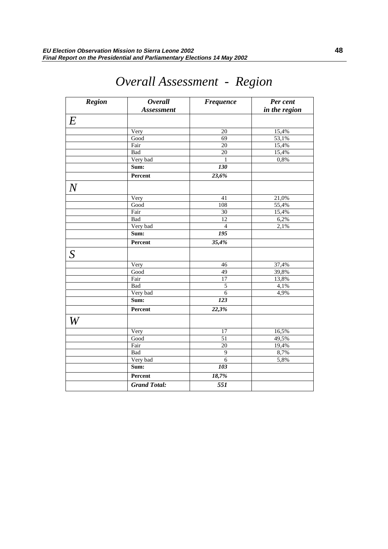| <b>Region</b>    | <b>Overall</b>      | <b>Frequence</b> | Per cent      |
|------------------|---------------------|------------------|---------------|
|                  | <b>Assessment</b>   |                  | in the region |
| $\boldsymbol{E}$ |                     |                  |               |
|                  | Very                | 20               | 15,4%         |
|                  | Good                | $\overline{69}$  | 53,1%         |
|                  | Fair                | $\overline{20}$  | 15,4%         |
|                  | Bad                 | 20               | 15,4%         |
|                  | Very bad            | 1                | 0,8%          |
|                  | Sum:                | <b>130</b>       |               |
|                  | Percent             | 23,6%            |               |
|                  |                     |                  |               |
| $\overline{N}$   |                     |                  |               |
|                  | Very                | 41               | 21,0%         |
|                  | Good                | 108              | 55,4%         |
|                  | Fair                | 30               | 15,4%         |
|                  | Bad                 | 12               | 6,2%          |
|                  | Very bad            | $\overline{4}$   | 2,1%          |
|                  | Sum:                | 195              |               |
|                  | Percent             | 35,4%            |               |
| S                |                     |                  |               |
|                  | Very                | 46               | 37,4%         |
|                  | Good                | $\overline{49}$  | 39,8%         |
|                  | Fair                | 17               | 13,8%         |
|                  | Bad                 | 5                | 4,1%          |
|                  | Very bad            | 6                | 4,9%          |
|                  | Sum:                | <b>123</b>       |               |
|                  | Percent             | 22,3%            |               |
| $\,W\,$          |                     |                  |               |
|                  | Very                | $\overline{17}$  | 16,5%         |
|                  | Good                | 51               | 49,5%         |
|                  | Fair                | 20               | 19,4%         |
|                  | Bad                 | 9                | 8,7%          |
|                  | Very bad            | $\overline{6}$   | 5,8%          |
|                  | Sum:                | 103              |               |
|                  | Percent             | 18,7%            |               |
|                  | <b>Grand Total:</b> | 551              |               |

# *Overall Assessment - Region*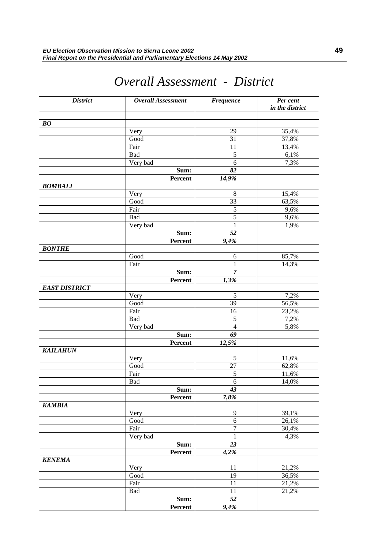| <b>District</b>                | Overall Assessment | <b>Frequence</b> | Per cent<br>in the district |
|--------------------------------|--------------------|------------------|-----------------------------|
|                                |                    |                  |                             |
| $\boldsymbol{B}\boldsymbol{O}$ |                    |                  |                             |
|                                | Very               | 29               | 35,4%                       |
|                                | Good               | 31               | 37,8%                       |
|                                | Fair               | 11               | 13,4%                       |
|                                | Bad                | $\sqrt{5}$       | 6,1%                        |
|                                | Very bad           | 6                | 7,3%                        |
|                                | Sum:               | 82               |                             |
|                                | Percent            | 14,9%            |                             |
| <b>BOMBALI</b>                 |                    |                  |                             |
|                                | Very               | $\,8\,$          | 15,4%                       |
|                                | Good               | 33               | 63,5%                       |
|                                | Fair               | 5                | 9,6%                        |
|                                | Bad                | 5                | 9,6%                        |
|                                | Very bad           | 1                | 1,9%                        |
|                                | Sum:               | 52               |                             |
|                                | Percent            | 9,4%             |                             |
| <b>BONTHE</b>                  |                    |                  |                             |
|                                | Good               | 6                | 85,7%                       |
|                                | Fair               | 1                | 14,3%                       |
|                                | Sum:               | $\boldsymbol{7}$ |                             |
|                                | Percent            | 1,3%             |                             |
| <b>EAST DISTRICT</b>           |                    |                  |                             |
|                                | Very               | $\sqrt{5}$       | 7,2%                        |
|                                | Good               | 39               | 56,5%                       |
|                                | Fair               | 16               | 23,2%                       |
|                                | Bad                | $\mathfrak s$    | 7,2%                        |
|                                | Very bad           | $\overline{4}$   | 5,8%                        |
|                                | Sum:               | 69               |                             |
|                                | Percent            | 12,5%            |                             |
| <b>KAILAHUN</b>                |                    |                  |                             |
|                                | Very               | $\sqrt{5}$       | 11,6%                       |
|                                | Good               | $27\,$           | 62,8%                       |
|                                | Fair               | $\sqrt{5}$       | 11,6%                       |
|                                | Bad                | 6                | 14,0%                       |
|                                | Sum:               | 43<br>7,8%       |                             |
| <b>KAMBIA</b>                  | Percent            |                  |                             |
|                                | Very               | 9                | 39,1%                       |
|                                | Good               | 6                | 26,1%                       |
|                                | Fair               | 7                | 30,4%                       |
|                                | Very bad           | $\mathbf{1}$     | 4,3%                        |
|                                | Sum:               | 23               |                             |
|                                | Percent            | 4,2%             |                             |
| <b>KENEMA</b>                  |                    |                  |                             |
|                                | Very               | 11               | 21,2%                       |
|                                | Good               | 19               | 36,5%                       |
|                                | Fair               | 11               | 21,2%                       |
|                                | Bad                | 11               | 21,2%                       |
|                                | Sum:               | 52               |                             |
|                                | Percent            | 9,4%             |                             |

# *Overall Assessment - District*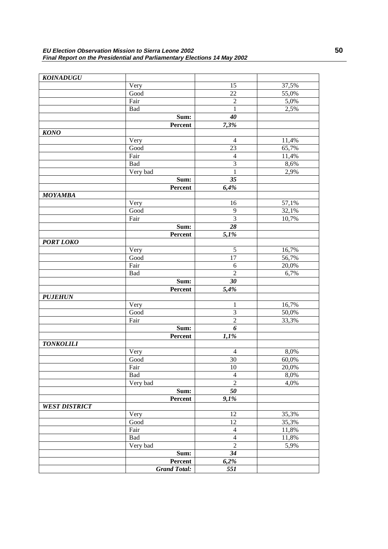| <b>KOINADUGU</b>     |                       |                    |       |
|----------------------|-----------------------|--------------------|-------|
|                      | Very                  | 15                 | 37,5% |
|                      | Good                  | 22                 | 55,0% |
|                      | Fair                  | $\overline{2}$     | 5,0%  |
|                      | Bad                   | 1                  | 2,5%  |
|                      | Sum:                  | 40                 |       |
|                      | Percent               | 7,3%               |       |
| <b>KONO</b>          |                       |                    |       |
|                      | Very                  | $\overline{4}$     | 11,4% |
|                      | Good                  | 23                 | 65,7% |
|                      | Fair                  | $\overline{4}$     | 11,4% |
|                      | Bad                   | 3                  | 8,6%  |
|                      | Very bad              | 1                  | 2,9%  |
|                      | Sum:                  | 35                 |       |
|                      | Percent               | 6,4%               |       |
| <b>MOYAMBA</b>       |                       |                    |       |
|                      | Very                  | 16                 | 57,1% |
|                      | Good                  | 9                  | 32,1% |
|                      | Fair                  | 3                  | 10,7% |
|                      | Sum:                  | 28                 |       |
|                      | Percent               | 5,1%               |       |
| <b>PORT LOKO</b>     |                       |                    |       |
|                      | Very                  | 5                  | 16,7% |
|                      | Good                  | 17                 | 56,7% |
|                      | Fair                  | 6                  | 20,0% |
|                      | Bad                   | $\overline{2}$     | 6,7%  |
|                      | Sum:                  | 30                 |       |
|                      | Percent               | 5,4%               |       |
| <b>PUJEHUN</b>       |                       |                    |       |
|                      | Very                  | 1                  | 16,7% |
|                      | Good                  | 3                  | 50,0% |
|                      | Fair                  | $\overline{2}$     | 33,3% |
|                      | Sum:                  | 6                  |       |
|                      | Percent               | 1,1%               |       |
| <b>TONKOLILI</b>     |                       |                    |       |
|                      | Very                  | $\overline{4}$     | 8,0%  |
|                      | Good                  | 30                 | 60,0% |
|                      | Fair                  | $\overline{10}$    | 20,0% |
|                      | Bad                   | $\overline{4}$     | 8,0%  |
|                      | Very bad              | $\overline{2}$     | 4,0%  |
|                      | Sum:                  | $\overline{50}$    |       |
|                      | Percent               | $\overline{9,1\%}$ |       |
| <b>WEST DISTRICT</b> |                       |                    |       |
|                      | Very                  | 12                 | 35,3% |
|                      | $\operatorname{Good}$ | 12                 | 35,3% |
|                      | Fair                  | $\overline{4}$     | 11,8% |
|                      | Bad                   | $\overline{4}$     | 11,8% |
|                      | Very bad              | $\overline{2}$     | 5,9%  |
|                      | Sum:                  | $\overline{34}$    |       |
|                      | Percent               | 6,2%               |       |
|                      | <b>Grand Total:</b>   | $\overline{551}$   |       |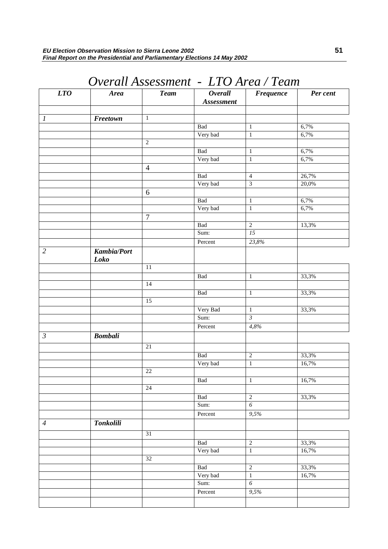| LTO                       | <b>Area</b>                | <b>Team</b>      | <b>Overall</b><br>Assessment | <b>Frequence</b>                 | Per cent       |
|---------------------------|----------------------------|------------------|------------------------------|----------------------------------|----------------|
| $\boldsymbol{l}$          | Freetown                   | $\,1$            |                              |                                  |                |
|                           |                            |                  | Bad                          | $\mathbf{1}$                     | 6,7%           |
|                           |                            |                  | Very bad                     | $\mathbf{1}$                     | 6,7%           |
|                           |                            | $\sqrt{2}$       |                              |                                  |                |
|                           |                            |                  | Bad                          | $\mathbf 1$                      | 6,7%           |
|                           |                            |                  | Very bad                     | $\overline{1}$                   | 6,7%           |
|                           |                            | $\overline{4}$   |                              |                                  |                |
|                           |                            |                  | Bad                          | $\overline{4}$                   | 26,7%          |
|                           |                            |                  | Very bad                     | $\overline{\mathbf{3}}$          | 20,0%          |
|                           |                            | $\sqrt{6}$       |                              |                                  |                |
|                           |                            |                  | <b>Bad</b>                   | $\mathbf{1}$                     | 6,7%           |
|                           |                            |                  | Very bad                     | $\overline{1}$                   | 6,7%           |
|                           |                            | $\boldsymbol{7}$ |                              |                                  |                |
|                           |                            |                  | <b>Bad</b>                   | $\overline{2}$                   | 13,3%          |
|                           |                            |                  | Sum:                         | $\overline{15}$                  |                |
|                           |                            |                  | Percent                      | 23,8%                            |                |
| $\overline{2}$            | <b>Kambia/Port</b><br>Loko |                  |                              |                                  |                |
|                           |                            | $\overline{11}$  |                              |                                  |                |
|                           |                            |                  | <b>Bad</b>                   | $\overline{1}$                   | 33,3%          |
|                           |                            | 14               |                              |                                  |                |
|                           |                            |                  | Bad                          | $\mathbf 1$                      | 33,3%          |
|                           |                            | 15               |                              |                                  |                |
|                           |                            |                  | Very Bad                     | $\,1$                            | 33,3%          |
|                           |                            |                  | Sum:                         | $\overline{\mathfrak{z}}$        |                |
|                           |                            |                  | Percent                      | 4,8%                             |                |
| $\overline{\mathfrak{z}}$ | <b>Bombali</b>             | 21               |                              |                                  |                |
|                           |                            |                  |                              |                                  |                |
|                           |                            |                  | <b>Bad</b>                   | $\overline{c}$<br>$\overline{1}$ | 33,3%<br>16,7% |
|                           |                            | $22\,$           | Very bad                     |                                  |                |
|                           |                            |                  | Bad                          |                                  | 16,7%          |
|                           |                            | $24\,$           |                              | $\mathbf{1}$                     |                |
|                           |                            |                  | Bad                          | $\overline{2}$                   | 33,3%          |
|                           |                            |                  | Sum:                         | $\overline{6}$                   |                |
|                           |                            |                  | Percent                      | 9,5%                             |                |
| $\overline{A}$            | <b>Tonkolili</b>           |                  |                              |                                  |                |
|                           |                            |                  |                              |                                  |                |
|                           |                            | $\overline{31}$  |                              |                                  |                |
|                           |                            |                  | Bad                          | $\sqrt{2}$                       | 33,3%          |
|                           |                            | $32\,$           | Very bad                     | $\overline{1}$                   | 16,7%          |
|                           |                            |                  |                              |                                  |                |
|                           |                            |                  | Bad<br>Very bad              | $\overline{2}$<br>$\overline{1}$ | 33,3%<br>16,7% |
|                           |                            |                  | Sum:                         | $\overline{6}$                   |                |
|                           |                            |                  | Percent                      | 9,5%                             |                |
|                           |                            |                  |                              |                                  |                |
|                           |                            |                  |                              |                                  |                |

# *Overall Assessment - LTO Area / Team*